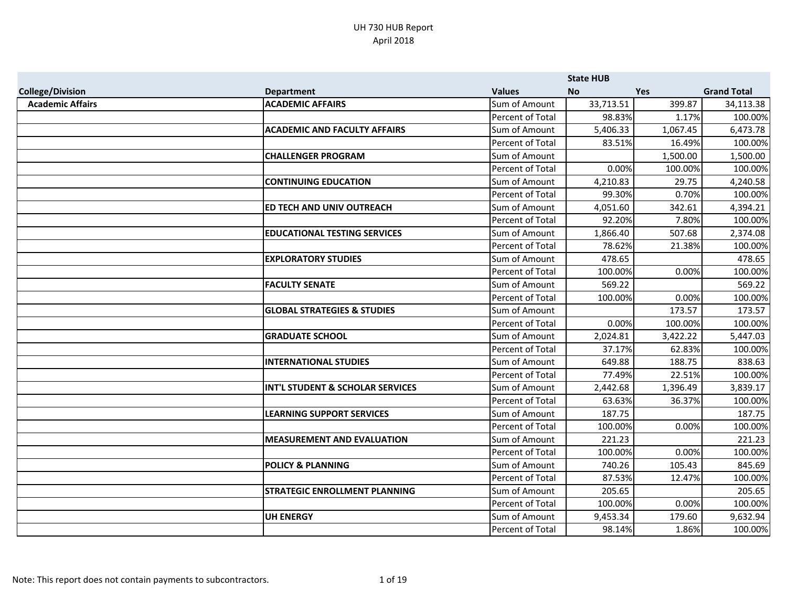|                         |                                             |                  | <b>State HUB</b> |            |                    |
|-------------------------|---------------------------------------------|------------------|------------------|------------|--------------------|
| <b>College/Division</b> | <b>Department</b>                           | <b>Values</b>    | <b>No</b>        | <b>Yes</b> | <b>Grand Total</b> |
| <b>Academic Affairs</b> | <b>ACADEMIC AFFAIRS</b>                     | Sum of Amount    | 33,713.51        | 399.87     | 34,113.38          |
|                         |                                             | Percent of Total | 98.83%           | 1.17%      | 100.00%            |
|                         | <b>ACADEMIC AND FACULTY AFFAIRS</b>         | Sum of Amount    | 5,406.33         | 1,067.45   | 6,473.78           |
|                         |                                             | Percent of Total | 83.51%           | 16.49%     | 100.00%            |
|                         | <b>CHALLENGER PROGRAM</b>                   | Sum of Amount    |                  | 1,500.00   | 1,500.00           |
|                         |                                             | Percent of Total | 0.00%            | 100.00%    | 100.00%            |
|                         | <b>CONTINUING EDUCATION</b>                 | Sum of Amount    | 4,210.83         | 29.75      | 4,240.58           |
|                         |                                             | Percent of Total | 99.30%           | 0.70%      | 100.00%            |
|                         | ED TECH AND UNIV OUTREACH                   | Sum of Amount    | 4,051.60         | 342.61     | 4,394.21           |
|                         |                                             | Percent of Total | 92.20%           | 7.80%      | 100.00%            |
|                         | <b>EDUCATIONAL TESTING SERVICES</b>         | Sum of Amount    | 1,866.40         | 507.68     | 2,374.08           |
|                         |                                             | Percent of Total | 78.62%           | 21.38%     | 100.00%            |
|                         | <b>EXPLORATORY STUDIES</b>                  | Sum of Amount    | 478.65           |            | 478.65             |
|                         |                                             | Percent of Total | 100.00%          | 0.00%      | 100.00%            |
|                         | <b>FACULTY SENATE</b>                       | Sum of Amount    | 569.22           |            | 569.22             |
|                         |                                             | Percent of Total | 100.00%          | 0.00%      | 100.00%            |
|                         | <b>GLOBAL STRATEGIES &amp; STUDIES</b>      | Sum of Amount    |                  | 173.57     | 173.57             |
|                         |                                             | Percent of Total | 0.00%            | 100.00%    | 100.00%            |
|                         | <b>GRADUATE SCHOOL</b>                      | Sum of Amount    | 2,024.81         | 3,422.22   | 5,447.03           |
|                         |                                             | Percent of Total | 37.17%           | 62.83%     | 100.00%            |
|                         | <b>INTERNATIONAL STUDIES</b>                | Sum of Amount    | 649.88           | 188.75     | 838.63             |
|                         |                                             | Percent of Total | 77.49%           | 22.51%     | 100.00%            |
|                         | <b>INT'L STUDENT &amp; SCHOLAR SERVICES</b> | Sum of Amount    | 2,442.68         | 1,396.49   | 3,839.17           |
|                         |                                             | Percent of Total | 63.63%           | 36.37%     | 100.00%            |
|                         | <b>LEARNING SUPPORT SERVICES</b>            | Sum of Amount    | 187.75           |            | 187.75             |
|                         |                                             | Percent of Total | 100.00%          | 0.00%      | 100.00%            |
|                         | <b>MEASUREMENT AND EVALUATION</b>           | Sum of Amount    | 221.23           |            | 221.23             |
|                         |                                             | Percent of Total | 100.00%          | 0.00%      | 100.00%            |
|                         | <b>POLICY &amp; PLANNING</b>                | Sum of Amount    | 740.26           | 105.43     | 845.69             |
|                         |                                             | Percent of Total | 87.53%           | 12.47%     | 100.00%            |
|                         | <b>STRATEGIC ENROLLMENT PLANNING</b>        | Sum of Amount    | 205.65           |            | 205.65             |
|                         |                                             | Percent of Total | 100.00%          | 0.00%      | 100.00%            |
|                         | <b>UH ENERGY</b>                            | Sum of Amount    | 9,453.34         | 179.60     | 9,632.94           |
|                         |                                             | Percent of Total | 98.14%           | 1.86%      | 100.00%            |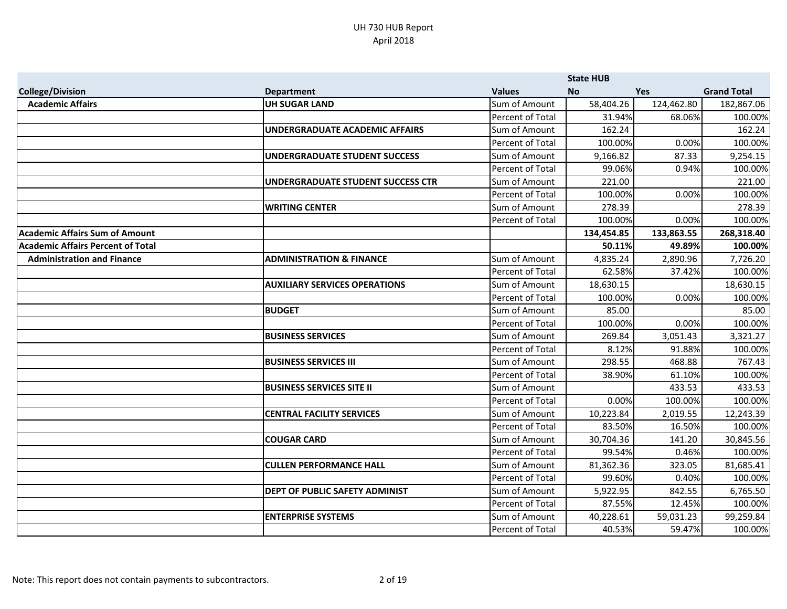|                                          |                                          |                         | <b>State HUB</b> |            |                    |
|------------------------------------------|------------------------------------------|-------------------------|------------------|------------|--------------------|
| <b>College/Division</b>                  | <b>Department</b>                        | <b>Values</b>           | <b>No</b>        | <b>Yes</b> | <b>Grand Total</b> |
| <b>Academic Affairs</b>                  | <b>UH SUGAR LAND</b>                     | Sum of Amount           | 58,404.26        | 124,462.80 | 182,867.06         |
|                                          |                                          | Percent of Total        | 31.94%           | 68.06%     | 100.00%            |
|                                          | UNDERGRADUATE ACADEMIC AFFAIRS           | Sum of Amount           | 162.24           |            | 162.24             |
|                                          |                                          | Percent of Total        | 100.00%          | 0.00%      | 100.00%            |
|                                          | <b>UNDERGRADUATE STUDENT SUCCESS</b>     | Sum of Amount           | 9,166.82         | 87.33      | 9,254.15           |
|                                          |                                          | Percent of Total        | 99.06%           | 0.94%      | 100.00%            |
|                                          | <b>UNDERGRADUATE STUDENT SUCCESS CTR</b> | Sum of Amount           | 221.00           |            | 221.00             |
|                                          |                                          | <b>Percent of Total</b> | 100.00%          | 0.00%      | 100.00%            |
|                                          | <b>WRITING CENTER</b>                    | Sum of Amount           | 278.39           |            | 278.39             |
|                                          |                                          | Percent of Total        | 100.00%          | 0.00%      | 100.00%            |
| <b>Academic Affairs Sum of Amount</b>    |                                          |                         | 134,454.85       | 133,863.55 | 268,318.40         |
| <b>Academic Affairs Percent of Total</b> |                                          |                         | 50.11%           | 49.89%     | 100.00%            |
| <b>Administration and Finance</b>        | <b>ADMINISTRATION &amp; FINANCE</b>      | Sum of Amount           | 4,835.24         | 2,890.96   | 7,726.20           |
|                                          |                                          | <b>Percent of Total</b> | 62.58%           | 37.42%     | 100.00%            |
|                                          | <b>AUXILIARY SERVICES OPERATIONS</b>     | Sum of Amount           | 18,630.15        |            | 18,630.15          |
|                                          |                                          | Percent of Total        | 100.00%          | 0.00%      | 100.00%            |
|                                          | <b>BUDGET</b>                            | Sum of Amount           | 85.00            |            | 85.00              |
|                                          |                                          | Percent of Total        | 100.00%          | 0.00%      | 100.00%            |
|                                          | <b>BUSINESS SERVICES</b>                 | Sum of Amount           | 269.84           | 3,051.43   | 3,321.27           |
|                                          |                                          | Percent of Total        | 8.12%            | 91.88%     | 100.00%            |
|                                          | <b>BUSINESS SERVICES III</b>             | Sum of Amount           | 298.55           | 468.88     | 767.43             |
|                                          |                                          | Percent of Total        | 38.90%           | 61.10%     | 100.00%            |
|                                          | <b>BUSINESS SERVICES SITE II</b>         | Sum of Amount           |                  | 433.53     | 433.53             |
|                                          |                                          | Percent of Total        | 0.00%            | 100.00%    | 100.00%            |
|                                          | <b>CENTRAL FACILITY SERVICES</b>         | Sum of Amount           | 10,223.84        | 2,019.55   | 12,243.39          |
|                                          |                                          | Percent of Total        | 83.50%           | 16.50%     | 100.00%            |
|                                          | <b>COUGAR CARD</b>                       | Sum of Amount           | 30,704.36        | 141.20     | 30,845.56          |
|                                          |                                          | Percent of Total        | 99.54%           | 0.46%      | 100.00%            |
|                                          | <b>CULLEN PERFORMANCE HALL</b>           | Sum of Amount           | 81,362.36        | 323.05     | 81,685.41          |
|                                          |                                          | <b>Percent of Total</b> | 99.60%           | 0.40%      | 100.00%            |
|                                          | <b>DEPT OF PUBLIC SAFETY ADMINIST</b>    | Sum of Amount           | 5,922.95         | 842.55     | 6,765.50           |
|                                          |                                          | Percent of Total        | 87.55%           | 12.45%     | 100.00%            |
|                                          | <b>ENTERPRISE SYSTEMS</b>                | Sum of Amount           | 40,228.61        | 59,031.23  | 99,259.84          |
|                                          |                                          | Percent of Total        | 40.53%           | 59.47%     | 100.00%            |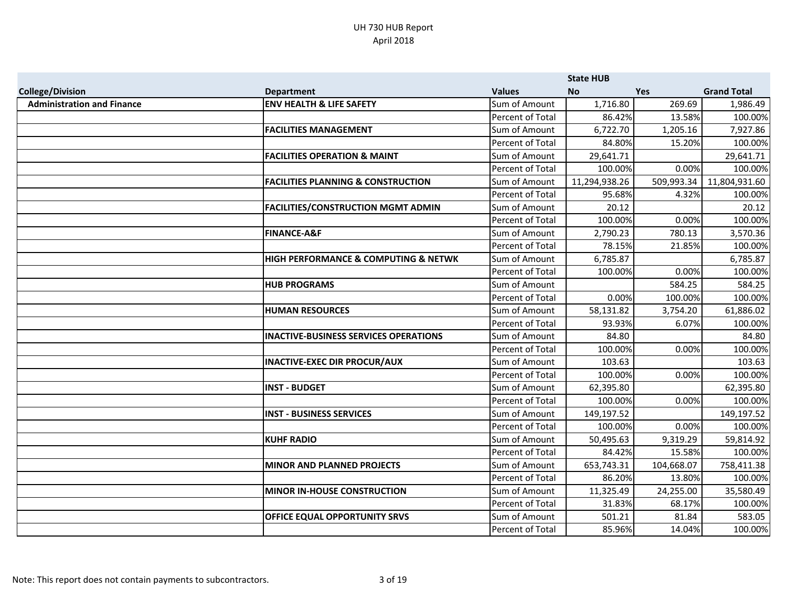|                                   |                                               |                  | <b>State HUB</b> |            |                    |
|-----------------------------------|-----------------------------------------------|------------------|------------------|------------|--------------------|
| <b>College/Division</b>           | <b>Department</b>                             | <b>Values</b>    | <b>No</b>        | Yes        | <b>Grand Total</b> |
| <b>Administration and Finance</b> | <b>ENV HEALTH &amp; LIFE SAFETY</b>           | Sum of Amount    | 1,716.80         | 269.69     | 1,986.49           |
|                                   |                                               | Percent of Total | 86.42%           | 13.58%     | 100.00%            |
|                                   | <b>FACILITIES MANAGEMENT</b>                  | Sum of Amount    | 6,722.70         | 1,205.16   | 7,927.86           |
|                                   |                                               | Percent of Total | 84.80%           | 15.20%     | 100.00%            |
|                                   | <b>FACILITIES OPERATION &amp; MAINT</b>       | Sum of Amount    | 29,641.71        |            | 29,641.71          |
|                                   |                                               | Percent of Total | 100.00%          | 0.00%      | 100.00%            |
|                                   | <b>FACILITIES PLANNING &amp; CONSTRUCTION</b> | Sum of Amount    | 11,294,938.26    | 509,993.34 | 11,804,931.60      |
|                                   |                                               | Percent of Total | 95.68%           | 4.32%      | 100.00%            |
|                                   | <b>FACILITIES/CONSTRUCTION MGMT ADMIN</b>     | Sum of Amount    | 20.12            |            | 20.12              |
|                                   |                                               | Percent of Total | 100.00%          | 0.00%      | 100.00%            |
|                                   | <b>FINANCE-A&amp;F</b>                        | Sum of Amount    | 2,790.23         | 780.13     | 3,570.36           |
|                                   |                                               | Percent of Total | 78.15%           | 21.85%     | 100.00%            |
|                                   | HIGH PERFORMANCE & COMPUTING & NETWK          | Sum of Amount    | 6,785.87         |            | 6,785.87           |
|                                   |                                               | Percent of Total | 100.00%          | 0.00%      | 100.00%            |
|                                   | <b>HUB PROGRAMS</b>                           | Sum of Amount    |                  | 584.25     | 584.25             |
|                                   |                                               | Percent of Total | 0.00%            | 100.00%    | 100.00%            |
|                                   | <b>HUMAN RESOURCES</b>                        | Sum of Amount    | 58,131.82        | 3,754.20   | 61,886.02          |
|                                   |                                               | Percent of Total | 93.93%           | 6.07%      | 100.00%            |
|                                   | <b>INACTIVE-BUSINESS SERVICES OPERATIONS</b>  | Sum of Amount    | 84.80            |            | 84.80              |
|                                   |                                               | Percent of Total | 100.00%          | 0.00%      | 100.00%            |
|                                   | <b>INACTIVE-EXEC DIR PROCUR/AUX</b>           | Sum of Amount    | 103.63           |            | 103.63             |
|                                   |                                               | Percent of Total | 100.00%          | 0.00%      | 100.00%            |
|                                   | <b>INST - BUDGET</b>                          | Sum of Amount    | 62,395.80        |            | 62,395.80          |
|                                   |                                               | Percent of Total | 100.00%          | 0.00%      | 100.00%            |
|                                   | <b>INST - BUSINESS SERVICES</b>               | Sum of Amount    | 149,197.52       |            | 149,197.52         |
|                                   |                                               | Percent of Total | 100.00%          | 0.00%      | 100.00%            |
|                                   | <b>KUHF RADIO</b>                             | Sum of Amount    | 50,495.63        | 9,319.29   | 59,814.92          |
|                                   |                                               | Percent of Total | 84.42%           | 15.58%     | 100.00%            |
|                                   | <b>MINOR AND PLANNED PROJECTS</b>             | Sum of Amount    | 653,743.31       | 104,668.07 | 758,411.38         |
|                                   |                                               | Percent of Total | 86.20%           | 13.80%     | 100.00%            |
|                                   | <b>MINOR IN-HOUSE CONSTRUCTION</b>            | Sum of Amount    | 11,325.49        | 24,255.00  | 35,580.49          |
|                                   |                                               | Percent of Total | 31.83%           | 68.17%     | 100.00%            |
|                                   | OFFICE EQUAL OPPORTUNITY SRVS                 | Sum of Amount    | 501.21           | 81.84      | 583.05             |
|                                   |                                               | Percent of Total | 85.96%           | 14.04%     | 100.00%            |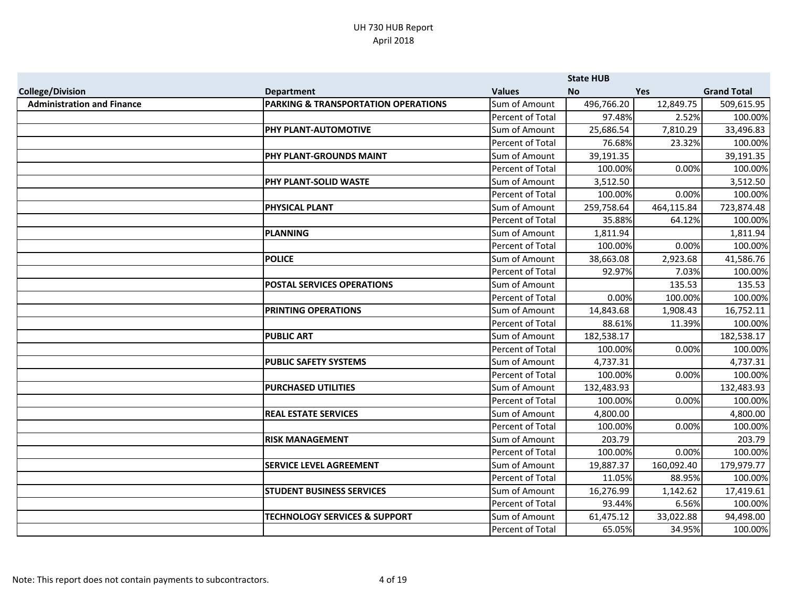|                                   |                                                |                  | <b>State HUB</b> |            |                    |
|-----------------------------------|------------------------------------------------|------------------|------------------|------------|--------------------|
| <b>College/Division</b>           | <b>Department</b>                              | <b>Values</b>    | <b>No</b>        | <b>Yes</b> | <b>Grand Total</b> |
| <b>Administration and Finance</b> | <b>PARKING &amp; TRANSPORTATION OPERATIONS</b> | Sum of Amount    | 496,766.20       | 12,849.75  | 509,615.95         |
|                                   |                                                | Percent of Total | 97.48%           | 2.52%      | 100.00%            |
|                                   | PHY PLANT-AUTOMOTIVE                           | Sum of Amount    | 25,686.54        | 7,810.29   | 33,496.83          |
|                                   |                                                | Percent of Total | 76.68%           | 23.32%     | 100.00%            |
|                                   | PHY PLANT-GROUNDS MAINT                        | Sum of Amount    | 39,191.35        |            | 39,191.35          |
|                                   |                                                | Percent of Total | 100.00%          | 0.00%      | 100.00%            |
|                                   | PHY PLANT-SOLID WASTE                          | Sum of Amount    | 3,512.50         |            | 3,512.50           |
|                                   |                                                | Percent of Total | 100.00%          | 0.00%      | 100.00%            |
|                                   | <b>PHYSICAL PLANT</b>                          | Sum of Amount    | 259,758.64       | 464,115.84 | 723,874.48         |
|                                   |                                                | Percent of Total | 35.88%           | 64.12%     | 100.00%            |
|                                   | <b>PLANNING</b>                                | Sum of Amount    | 1,811.94         |            | 1,811.94           |
|                                   |                                                | Percent of Total | 100.00%          | 0.00%      | 100.00%            |
|                                   | <b>POLICE</b>                                  | Sum of Amount    | 38,663.08        | 2,923.68   | 41,586.76          |
|                                   |                                                | Percent of Total | 92.97%           | 7.03%      | 100.00%            |
|                                   | <b>POSTAL SERVICES OPERATIONS</b>              | Sum of Amount    |                  | 135.53     | 135.53             |
|                                   |                                                | Percent of Total | 0.00%            | 100.00%    | 100.00%            |
|                                   | <b>PRINTING OPERATIONS</b>                     | Sum of Amount    | 14,843.68        | 1,908.43   | 16,752.11          |
|                                   |                                                | Percent of Total | 88.61%           | 11.39%     | 100.00%            |
|                                   | <b>PUBLIC ART</b>                              | Sum of Amount    | 182,538.17       |            | 182,538.17         |
|                                   |                                                | Percent of Total | 100.00%          | 0.00%      | 100.00%            |
|                                   | <b>PUBLIC SAFETY SYSTEMS</b>                   | Sum of Amount    | 4,737.31         |            | 4,737.31           |
|                                   |                                                | Percent of Total | 100.00%          | 0.00%      | 100.00%            |
|                                   | <b>PURCHASED UTILITIES</b>                     | Sum of Amount    | 132,483.93       |            | 132,483.93         |
|                                   |                                                | Percent of Total | 100.00%          | 0.00%      | 100.00%            |
|                                   | <b>REAL ESTATE SERVICES</b>                    | Sum of Amount    | 4,800.00         |            | 4,800.00           |
|                                   |                                                | Percent of Total | 100.00%          | 0.00%      | 100.00%            |
|                                   | <b>RISK MANAGEMENT</b>                         | Sum of Amount    | 203.79           |            | 203.79             |
|                                   |                                                | Percent of Total | 100.00%          | 0.00%      | 100.00%            |
|                                   | <b>SERVICE LEVEL AGREEMENT</b>                 | Sum of Amount    | 19,887.37        | 160,092.40 | 179,979.77         |
|                                   |                                                | Percent of Total | 11.05%           | 88.95%     | 100.00%            |
|                                   | <b>STUDENT BUSINESS SERVICES</b>               | Sum of Amount    | 16,276.99        | 1,142.62   | 17,419.61          |
|                                   |                                                | Percent of Total | 93.44%           | 6.56%      | 100.00%            |
|                                   | <b>TECHNOLOGY SERVICES &amp; SUPPORT</b>       | Sum of Amount    | 61,475.12        | 33,022.88  | 94,498.00          |
|                                   |                                                | Percent of Total | 65.05%           | 34.95%     | 100.00%            |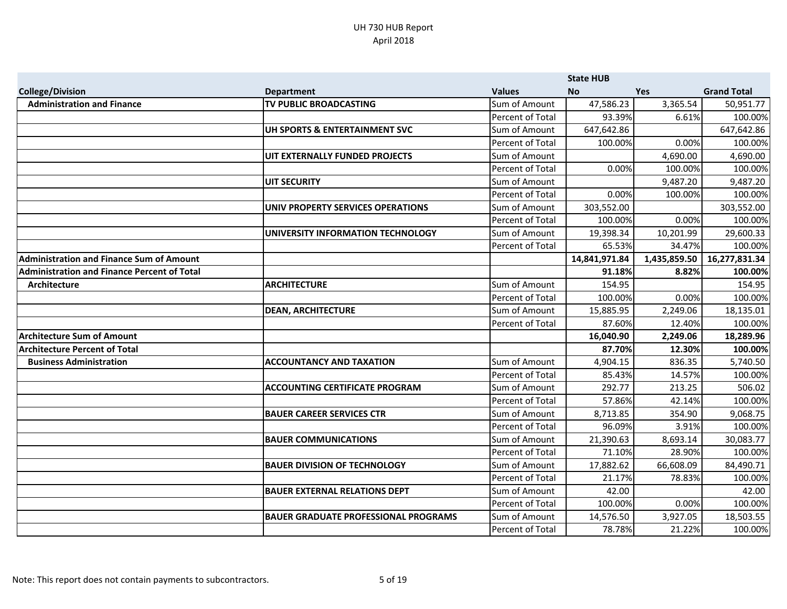|                                                    |                                             |                         | <b>State HUB</b> |              |                    |
|----------------------------------------------------|---------------------------------------------|-------------------------|------------------|--------------|--------------------|
| <b>College/Division</b>                            | <b>Department</b>                           | <b>Values</b>           | <b>No</b>        | <b>Yes</b>   | <b>Grand Total</b> |
| <b>Administration and Finance</b>                  | <b>TV PUBLIC BROADCASTING</b>               | Sum of Amount           | 47,586.23        | 3,365.54     | 50,951.77          |
|                                                    |                                             | Percent of Total        | 93.39%           | 6.61%        | 100.00%            |
|                                                    | UH SPORTS & ENTERTAINMENT SVC               | Sum of Amount           | 647,642.86       |              | 647,642.86         |
|                                                    |                                             | Percent of Total        | 100.00%          | 0.00%        | 100.00%            |
|                                                    | UIT EXTERNALLY FUNDED PROJECTS              | Sum of Amount           |                  | 4,690.00     | 4,690.00           |
|                                                    |                                             | Percent of Total        | 0.00%            | 100.00%      | 100.00%            |
|                                                    | <b>UIT SECURITY</b>                         | Sum of Amount           |                  | 9,487.20     | 9,487.20           |
|                                                    |                                             | <b>Percent of Total</b> | 0.00%            | 100.00%      | 100.00%            |
|                                                    | UNIV PROPERTY SERVICES OPERATIONS           | Sum of Amount           | 303,552.00       |              | 303,552.00         |
|                                                    |                                             | Percent of Total        | 100.00%          | 0.00%        | 100.00%            |
|                                                    | UNIVERSITY INFORMATION TECHNOLOGY           | Sum of Amount           | 19,398.34        | 10,201.99    | 29,600.33          |
|                                                    |                                             | Percent of Total        | 65.53%           | 34.47%       | 100.00%            |
| <b>Administration and Finance Sum of Amount</b>    |                                             |                         | 14,841,971.84    | 1,435,859.50 | 16,277,831.34      |
| <b>Administration and Finance Percent of Total</b> |                                             |                         | 91.18%           | 8.82%        | 100.00%            |
| Architecture                                       | <b>ARCHITECTURE</b>                         | Sum of Amount           | 154.95           |              | 154.95             |
|                                                    |                                             | <b>Percent of Total</b> | 100.00%          | 0.00%        | 100.00%            |
|                                                    | <b>DEAN, ARCHITECTURE</b>                   | Sum of Amount           | 15,885.95        | 2,249.06     | 18,135.01          |
|                                                    |                                             | Percent of Total        | 87.60%           | 12.40%       | 100.00%            |
| <b>Architecture Sum of Amount</b>                  |                                             |                         | 16,040.90        | 2,249.06     | 18,289.96          |
| <b>Architecture Percent of Total</b>               |                                             |                         | 87.70%           | 12.30%       | 100.00%            |
| <b>Business Administration</b>                     | <b>ACCOUNTANCY AND TAXATION</b>             | Sum of Amount           | 4,904.15         | 836.35       | 5,740.50           |
|                                                    |                                             | Percent of Total        | 85.43%           | 14.57%       | 100.00%            |
|                                                    | <b>ACCOUNTING CERTIFICATE PROGRAM</b>       | Sum of Amount           | 292.77           | 213.25       | 506.02             |
|                                                    |                                             | Percent of Total        | 57.86%           | 42.14%       | 100.00%            |
|                                                    | <b>BAUER CAREER SERVICES CTR</b>            | Sum of Amount           | 8,713.85         | 354.90       | 9,068.75           |
|                                                    |                                             | Percent of Total        | 96.09%           | 3.91%        | 100.00%            |
|                                                    | <b>BAUER COMMUNICATIONS</b>                 | Sum of Amount           | 21,390.63        | 8,693.14     | 30,083.77          |
|                                                    |                                             | Percent of Total        | 71.10%           | 28.90%       | 100.00%            |
|                                                    | <b>BAUER DIVISION OF TECHNOLOGY</b>         | Sum of Amount           | 17,882.62        | 66,608.09    | 84,490.71          |
|                                                    |                                             | Percent of Total        | 21.17%           | 78.83%       | 100.00%            |
|                                                    | <b>BAUER EXTERNAL RELATIONS DEPT</b>        | Sum of Amount           | 42.00            |              | 42.00              |
|                                                    |                                             | Percent of Total        | 100.00%          | 0.00%        | 100.00%            |
|                                                    | <b>BAUER GRADUATE PROFESSIONAL PROGRAMS</b> | Sum of Amount           | 14,576.50        | 3,927.05     | 18,503.55          |
|                                                    |                                             | Percent of Total        | 78.78%           | 21.22%       | 100.00%            |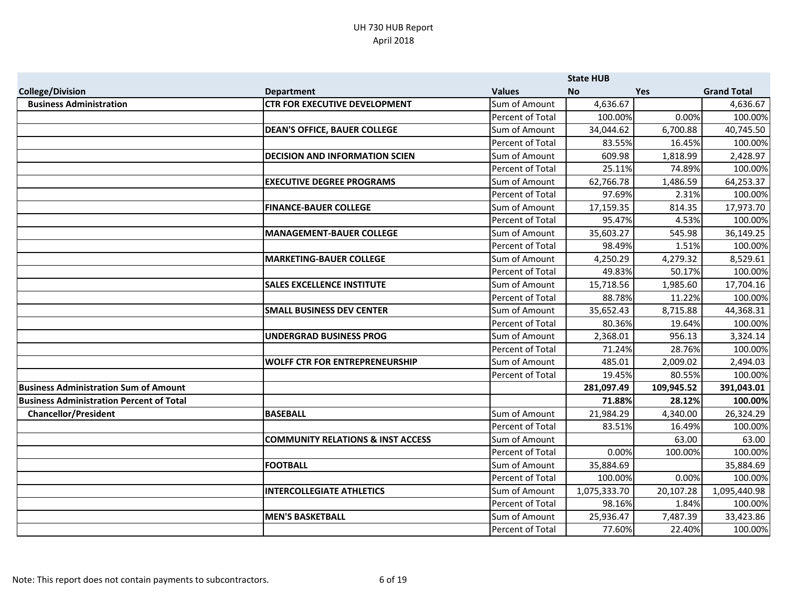|                                                 |                                              |                         | <b>State HUB</b> |            |                    |
|-------------------------------------------------|----------------------------------------------|-------------------------|------------------|------------|--------------------|
| <b>College/Division</b>                         | <b>Department</b>                            | <b>Values</b>           | <b>No</b>        | <b>Yes</b> | <b>Grand Total</b> |
| <b>Business Administration</b>                  | <b>CTR FOR EXECUTIVE DEVELOPMENT</b>         | Sum of Amount           | 4,636.67         |            | 4,636.67           |
|                                                 |                                              | Percent of Total        | 100.00%          | 0.00%      | 100.00%            |
|                                                 | <b>DEAN'S OFFICE, BAUER COLLEGE</b>          | Sum of Amount           | 34,044.62        | 6,700.88   | 40,745.50          |
|                                                 |                                              | Percent of Total        | 83.55%           | 16.45%     | 100.00%            |
|                                                 | <b>DECISION AND INFORMATION SCIEN</b>        | Sum of Amount           | 609.98           | 1,818.99   | 2,428.97           |
|                                                 |                                              | Percent of Total        | 25.11%           | 74.89%     | 100.00%            |
|                                                 | <b>EXECUTIVE DEGREE PROGRAMS</b>             | Sum of Amount           | 62,766.78        | 1,486.59   | 64,253.37          |
|                                                 |                                              | Percent of Total        | 97.69%           | 2.31%      | 100.00%            |
|                                                 | <b>FINANCE-BAUER COLLEGE</b>                 | Sum of Amount           | 17,159.35        | 814.35     | 17,973.70          |
|                                                 |                                              | Percent of Total        | 95.47%           | 4.53%      | 100.00%            |
|                                                 | MANAGEMENT-BAUER COLLEGE                     | Sum of Amount           | 35,603.27        | 545.98     | 36,149.25          |
|                                                 |                                              | Percent of Total        | 98.49%           | 1.51%      | 100.00%            |
|                                                 | <b>MARKETING-BAUER COLLEGE</b>               | Sum of Amount           | 4,250.29         | 4,279.32   | 8,529.61           |
|                                                 |                                              | Percent of Total        | 49.83%           | 50.17%     | 100.00%            |
|                                                 | <b>SALES EXCELLENCE INSTITUTE</b>            | Sum of Amount           | 15,718.56        | 1,985.60   | 17,704.16          |
|                                                 |                                              | Percent of Total        | 88.78%           | 11.22%     | 100.00%            |
|                                                 | <b>SMALL BUSINESS DEV CENTER</b>             | Sum of Amount           | 35,652.43        | 8,715.88   | 44,368.31          |
|                                                 |                                              | Percent of Total        | 80.36%           | 19.64%     | 100.00%            |
|                                                 | UNDERGRAD BUSINESS PROG                      | Sum of Amount           | 2,368.01         | 956.13     | 3,324.14           |
|                                                 |                                              | Percent of Total        | 71.24%           | 28.76%     | 100.00%            |
|                                                 | <b>WOLFF CTR FOR ENTREPRENEURSHIP</b>        | Sum of Amount           | 485.01           | 2,009.02   | 2,494.03           |
|                                                 |                                              | Percent of Total        | 19.45%           | 80.55%     | 100.00%            |
| <b>Business Administration Sum of Amount</b>    |                                              |                         | 281,097.49       | 109,945.52 | 391,043.01         |
| <b>Business Administration Percent of Total</b> |                                              |                         | 71.88%           | 28.12%     | 100.00%            |
| <b>Chancellor/President</b>                     | <b>BASEBALL</b>                              | Sum of Amount           | 21,984.29        | 4,340.00   | 26,324.29          |
|                                                 |                                              | Percent of Total        | 83.51%           | 16.49%     | 100.00%            |
|                                                 | <b>COMMUNITY RELATIONS &amp; INST ACCESS</b> | Sum of Amount           |                  | 63.00      | 63.00              |
|                                                 |                                              | Percent of Total        | 0.00%            | 100.00%    | 100.00%            |
|                                                 | <b>FOOTBALL</b>                              | Sum of Amount           | 35,884.69        |            | 35,884.69          |
|                                                 |                                              | <b>Percent of Total</b> | 100.00%          | 0.00%      | 100.00%            |
|                                                 | <b>INTERCOLLEGIATE ATHLETICS</b>             | Sum of Amount           | 1,075,333.70     | 20,107.28  | 1,095,440.98       |
|                                                 |                                              | Percent of Total        | 98.16%           | 1.84%      | 100.00%            |
|                                                 | <b>MEN'S BASKETBALL</b>                      | Sum of Amount           | 25,936.47        | 7,487.39   | 33,423.86          |
|                                                 |                                              | Percent of Total        | 77.60%           | 22.40%     | 100.00%            |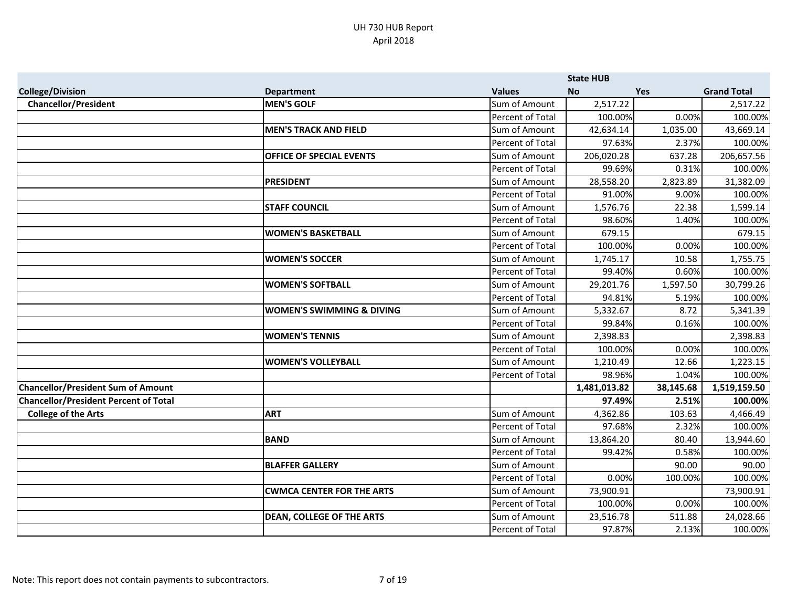|                                              |                                      |                         | <b>State HUB</b> |           |                    |
|----------------------------------------------|--------------------------------------|-------------------------|------------------|-----------|--------------------|
| <b>College/Division</b>                      | <b>Department</b>                    | <b>Values</b>           | <b>No</b>        | Yes       | <b>Grand Total</b> |
| <b>Chancellor/President</b>                  | <b>MEN'S GOLF</b>                    | Sum of Amount           | 2,517.22         |           | 2,517.22           |
|                                              |                                      | Percent of Total        | 100.00%          | 0.00%     | 100.00%            |
|                                              | <b>MEN'S TRACK AND FIELD</b>         | Sum of Amount           | 42,634.14        | 1,035.00  | 43,669.14          |
|                                              |                                      | Percent of Total        | 97.63%           | 2.37%     | 100.00%            |
|                                              | <b>OFFICE OF SPECIAL EVENTS</b>      | Sum of Amount           | 206,020.28       | 637.28    | 206,657.56         |
|                                              |                                      | Percent of Total        | 99.69%           | 0.31%     | 100.00%            |
|                                              | <b>PRESIDENT</b>                     | Sum of Amount           | 28,558.20        | 2,823.89  | 31,382.09          |
|                                              |                                      | Percent of Total        | 91.00%           | 9.00%     | 100.00%            |
|                                              | <b>STAFF COUNCIL</b>                 | Sum of Amount           | 1,576.76         | 22.38     | 1,599.14           |
|                                              |                                      | <b>Percent of Total</b> | 98.60%           | 1.40%     | 100.00%            |
|                                              | <b>WOMEN'S BASKETBALL</b>            | Sum of Amount           | 679.15           |           | 679.15             |
|                                              |                                      | Percent of Total        | 100.00%          | 0.00%     | 100.00%            |
|                                              | <b>WOMEN'S SOCCER</b>                | Sum of Amount           | 1,745.17         | 10.58     | 1,755.75           |
|                                              |                                      | Percent of Total        | 99.40%           | 0.60%     | 100.00%            |
|                                              | <b>WOMEN'S SOFTBALL</b>              | Sum of Amount           | 29,201.76        | 1,597.50  | 30,799.26          |
|                                              |                                      | Percent of Total        | 94.81%           | 5.19%     | 100.00%            |
|                                              | <b>WOMEN'S SWIMMING &amp; DIVING</b> | Sum of Amount           | 5,332.67         | 8.72      | 5,341.39           |
|                                              |                                      | Percent of Total        | 99.84%           | 0.16%     | 100.00%            |
|                                              | <b>WOMEN'S TENNIS</b>                | Sum of Amount           | 2,398.83         |           | 2,398.83           |
|                                              |                                      | Percent of Total        | 100.00%          | 0.00%     | 100.00%            |
|                                              | <b>WOMEN'S VOLLEYBALL</b>            | Sum of Amount           | 1,210.49         | 12.66     | 1,223.15           |
|                                              |                                      | Percent of Total        | 98.96%           | 1.04%     | 100.00%            |
| <b>Chancellor/President Sum of Amount</b>    |                                      |                         | 1,481,013.82     | 38,145.68 | 1,519,159.50       |
| <b>Chancellor/President Percent of Total</b> |                                      |                         | 97.49%           | 2.51%     | 100.00%            |
| <b>College of the Arts</b>                   | <b>ART</b>                           | Sum of Amount           | 4,362.86         | 103.63    | 4,466.49           |
|                                              |                                      | Percent of Total        | 97.68%           | 2.32%     | 100.00%            |
|                                              | <b>BAND</b>                          | Sum of Amount           | 13,864.20        | 80.40     | 13,944.60          |
|                                              |                                      | Percent of Total        | 99.42%           | 0.58%     | 100.00%            |
|                                              | <b>BLAFFER GALLERY</b>               | Sum of Amount           |                  | 90.00     | 90.00              |
|                                              |                                      | Percent of Total        | 0.00%            | 100.00%   | 100.00%            |
|                                              | <b>CWMCA CENTER FOR THE ARTS</b>     | Sum of Amount           | 73,900.91        |           | 73,900.91          |
|                                              |                                      | Percent of Total        | 100.00%          | 0.00%     | 100.00%            |
|                                              | <b>DEAN, COLLEGE OF THE ARTS</b>     | Sum of Amount           | 23,516.78        | 511.88    | 24,028.66          |
|                                              |                                      | Percent of Total        | 97.87%           | 2.13%     | 100.00%            |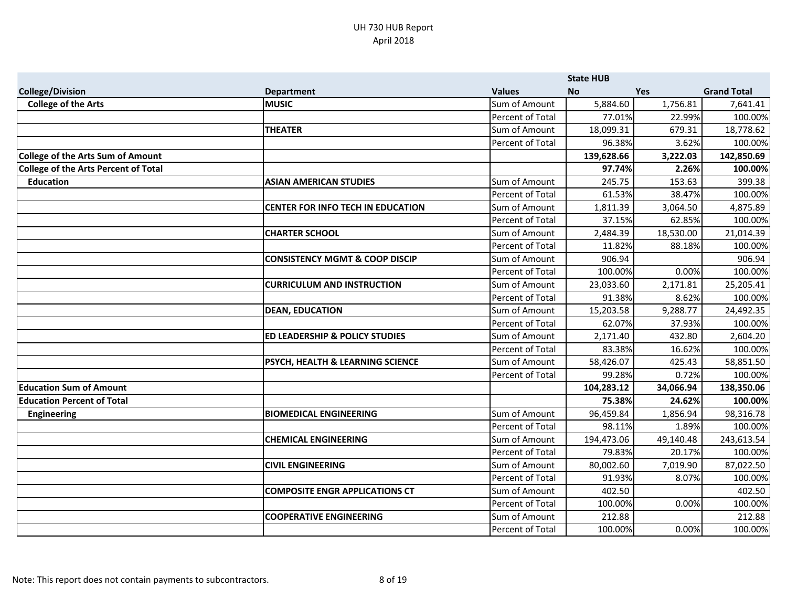|                                             |                                             |                  | <b>State HUB</b> |            |                    |
|---------------------------------------------|---------------------------------------------|------------------|------------------|------------|--------------------|
| <b>College/Division</b>                     | <b>Department</b>                           | <b>Values</b>    | <b>No</b>        | <b>Yes</b> | <b>Grand Total</b> |
| <b>College of the Arts</b>                  | <b>MUSIC</b>                                | Sum of Amount    | 5,884.60         | 1,756.81   | 7,641.41           |
|                                             |                                             | Percent of Total | 77.01%           | 22.99%     | 100.00%            |
|                                             | <b>THEATER</b>                              | Sum of Amount    | 18,099.31        | 679.31     | 18,778.62          |
|                                             |                                             | Percent of Total | 96.38%           | 3.62%      | 100.00%            |
| <b>College of the Arts Sum of Amount</b>    |                                             |                  | 139,628.66       | 3,222.03   | 142,850.69         |
| <b>College of the Arts Percent of Total</b> |                                             |                  | 97.74%           | 2.26%      | 100.00%            |
| <b>Education</b>                            | <b>ASIAN AMERICAN STUDIES</b>               | Sum of Amount    | 245.75           | 153.63     | 399.38             |
|                                             |                                             | Percent of Total | 61.53%           | 38.47%     | 100.00%            |
|                                             | <b>CENTER FOR INFO TECH IN EDUCATION</b>    | Sum of Amount    | 1,811.39         | 3,064.50   | 4,875.89           |
|                                             |                                             | Percent of Total | 37.15%           | 62.85%     | 100.00%            |
|                                             | <b>CHARTER SCHOOL</b>                       | Sum of Amount    | 2,484.39         | 18,530.00  | 21,014.39          |
|                                             |                                             | Percent of Total | 11.82%           | 88.18%     | 100.00%            |
|                                             | <b>CONSISTENCY MGMT &amp; COOP DISCIP</b>   | Sum of Amount    | 906.94           |            | 906.94             |
|                                             |                                             | Percent of Total | 100.00%          | 0.00%      | 100.00%            |
|                                             | <b>CURRICULUM AND INSTRUCTION</b>           | Sum of Amount    | 23,033.60        | 2,171.81   | 25,205.41          |
|                                             |                                             | Percent of Total | 91.38%           | 8.62%      | 100.00%            |
|                                             | <b>DEAN, EDUCATION</b>                      | Sum of Amount    | 15,203.58        | 9,288.77   | 24,492.35          |
|                                             |                                             | Percent of Total | 62.07%           | 37.93%     | 100.00%            |
|                                             | <b>ED LEADERSHIP &amp; POLICY STUDIES</b>   | Sum of Amount    | 2,171.40         | 432.80     | 2,604.20           |
|                                             |                                             | Percent of Total | 83.38%           | 16.62%     | 100.00%            |
|                                             | <b>PSYCH, HEALTH &amp; LEARNING SCIENCE</b> | Sum of Amount    | 58,426.07        | 425.43     | 58,851.50          |
|                                             |                                             | Percent of Total | 99.28%           | 0.72%      | 100.00%            |
| <b>Education Sum of Amount</b>              |                                             |                  | 104,283.12       | 34,066.94  | 138,350.06         |
| <b>Education Percent of Total</b>           |                                             |                  | 75.38%           | 24.62%     | 100.00%            |
| <b>Engineering</b>                          | <b>BIOMEDICAL ENGINEERING</b>               | Sum of Amount    | 96,459.84        | 1,856.94   | 98,316.78          |
|                                             |                                             | Percent of Total | 98.11%           | 1.89%      | 100.00%            |
|                                             | <b>CHEMICAL ENGINEERING</b>                 | Sum of Amount    | 194,473.06       | 49,140.48  | 243,613.54         |
|                                             |                                             | Percent of Total | 79.83%           | 20.17%     | 100.00%            |
|                                             | <b>CIVIL ENGINEERING</b>                    | Sum of Amount    | 80,002.60        | 7,019.90   | 87,022.50          |
|                                             |                                             | Percent of Total | 91.93%           | 8.07%      | 100.00%            |
|                                             | <b>COMPOSITE ENGR APPLICATIONS CT</b>       | Sum of Amount    | 402.50           |            | 402.50             |
|                                             |                                             | Percent of Total | 100.00%          | 0.00%      | 100.00%            |
|                                             | <b>COOPERATIVE ENGINEERING</b>              | Sum of Amount    | 212.88           |            | 212.88             |
|                                             |                                             | Percent of Total | 100.00%          | 0.00%      | 100.00%            |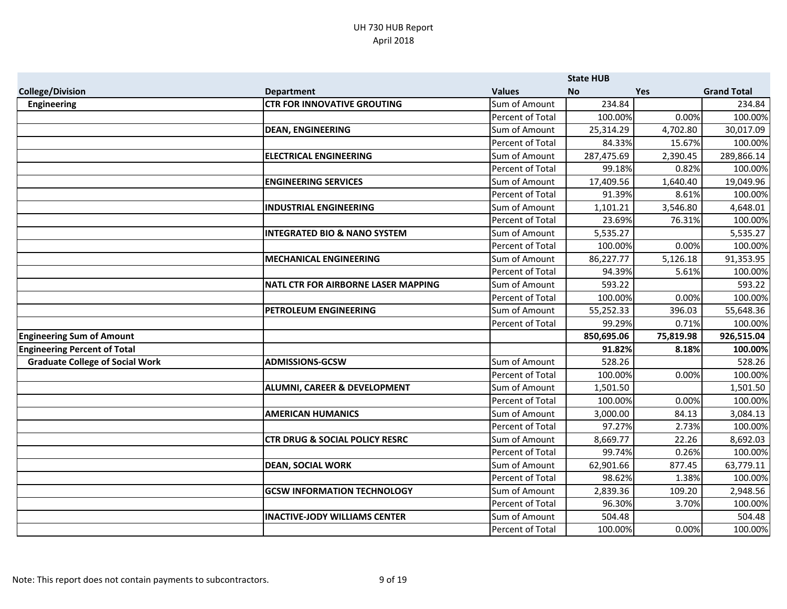|                                        |                                            |                         | <b>State HUB</b> |            |                    |
|----------------------------------------|--------------------------------------------|-------------------------|------------------|------------|--------------------|
| <b>College/Division</b>                | <b>Department</b>                          | <b>Values</b>           | No.              | <b>Yes</b> | <b>Grand Total</b> |
| <b>Engineering</b>                     | <b>CTR FOR INNOVATIVE GROUTING</b>         | Sum of Amount           | 234.84           |            | 234.84             |
|                                        |                                            | Percent of Total        | 100.00%          | 0.00%      | 100.00%            |
|                                        | <b>DEAN, ENGINEERING</b>                   | Sum of Amount           | 25,314.29        | 4,702.80   | 30,017.09          |
|                                        |                                            | <b>Percent of Total</b> | 84.33%           | 15.67%     | 100.00%            |
|                                        | <b>ELECTRICAL ENGINEERING</b>              | Sum of Amount           | 287,475.69       | 2,390.45   | 289,866.14         |
|                                        |                                            | <b>Percent of Total</b> | 99.18%           | 0.82%      | 100.00%            |
|                                        | <b>ENGINEERING SERVICES</b>                | Sum of Amount           | 17,409.56        | 1,640.40   | 19,049.96          |
|                                        |                                            | Percent of Total        | 91.39%           | 8.61%      | 100.00%            |
|                                        | <b>INDUSTRIAL ENGINEERING</b>              | Sum of Amount           | 1,101.21         | 3,546.80   | 4,648.01           |
|                                        |                                            | Percent of Total        | 23.69%           | 76.31%     | 100.00%            |
|                                        | <b>INTEGRATED BIO &amp; NANO SYSTEM</b>    | Sum of Amount           | 5,535.27         |            | 5,535.27           |
|                                        |                                            | Percent of Total        | 100.00%          | 0.00%      | 100.00%            |
|                                        | <b>MECHANICAL ENGINEERING</b>              | Sum of Amount           | 86,227.77        | 5,126.18   | 91,353.95          |
|                                        |                                            | Percent of Total        | 94.39%           | 5.61%      | 100.00%            |
|                                        | <b>NATL CTR FOR AIRBORNE LASER MAPPING</b> | Sum of Amount           | 593.22           |            | 593.22             |
|                                        |                                            | Percent of Total        | 100.00%          | 0.00%      | 100.00%            |
|                                        | PETROLEUM ENGINEERING                      | Sum of Amount           | 55,252.33        | 396.03     | 55,648.36          |
|                                        |                                            | Percent of Total        | 99.29%           | 0.71%      | 100.00%            |
| <b>Engineering Sum of Amount</b>       |                                            |                         | 850,695.06       | 75,819.98  | 926,515.04         |
| <b>Engineering Percent of Total</b>    |                                            |                         | 91.82%           | 8.18%      | 100.00%            |
| <b>Graduate College of Social Work</b> | <b>ADMISSIONS-GCSW</b>                     | Sum of Amount           | 528.26           |            | 528.26             |
|                                        |                                            | Percent of Total        | 100.00%          | 0.00%      | 100.00%            |
|                                        | <b>ALUMNI, CAREER &amp; DEVELOPMENT</b>    | Sum of Amount           | 1,501.50         |            | 1,501.50           |
|                                        |                                            | Percent of Total        | 100.00%          | 0.00%      | 100.00%            |
|                                        | <b>AMERICAN HUMANICS</b>                   | Sum of Amount           | 3,000.00         | 84.13      | 3,084.13           |
|                                        |                                            | Percent of Total        | 97.27%           | 2.73%      | 100.00%            |
|                                        | <b>CTR DRUG &amp; SOCIAL POLICY RESRC</b>  | Sum of Amount           | 8,669.77         | 22.26      | 8,692.03           |
|                                        |                                            | Percent of Total        | 99.74%           | 0.26%      | 100.00%            |
|                                        | <b>DEAN, SOCIAL WORK</b>                   | Sum of Amount           | 62,901.66        | 877.45     | 63,779.11          |
|                                        |                                            | <b>Percent of Total</b> | 98.62%           | 1.38%      | 100.00%            |
|                                        | <b>GCSW INFORMATION TECHNOLOGY</b>         | Sum of Amount           | 2,839.36         | 109.20     | 2,948.56           |
|                                        |                                            | Percent of Total        | 96.30%           | 3.70%      | 100.00%            |
|                                        | <b>INACTIVE-JODY WILLIAMS CENTER</b>       | Sum of Amount           | 504.48           |            | 504.48             |
|                                        |                                            | Percent of Total        | 100.00%          | 0.00%      | 100.00%            |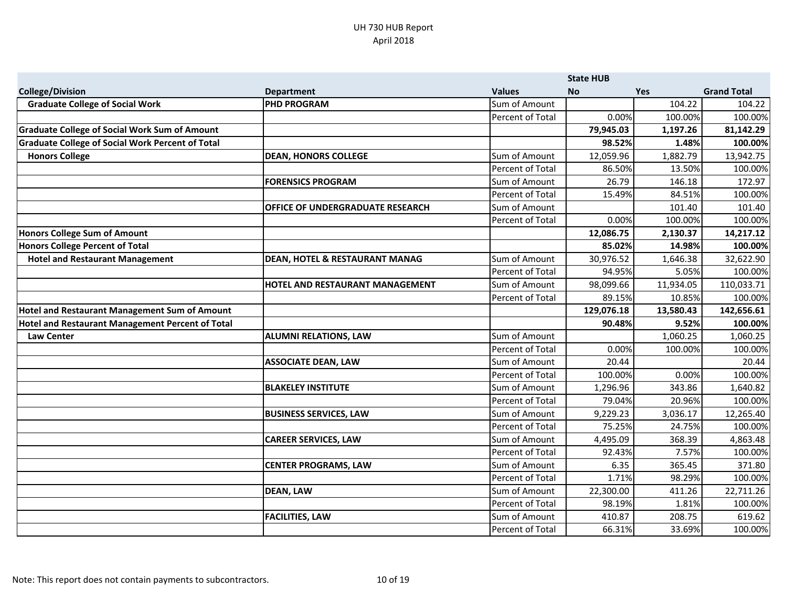|                                                         |                                           |                  | <b>State HUB</b> |           |                    |
|---------------------------------------------------------|-------------------------------------------|------------------|------------------|-----------|--------------------|
| <b>College/Division</b>                                 | <b>Department</b>                         | <b>Values</b>    | <b>No</b>        | Yes       | <b>Grand Total</b> |
| <b>Graduate College of Social Work</b>                  | <b>PHD PROGRAM</b>                        | Sum of Amount    |                  | 104.22    | 104.22             |
|                                                         |                                           | Percent of Total | 0.00%            | 100.00%   | 100.00%            |
| <b>Graduate College of Social Work Sum of Amount</b>    |                                           |                  | 79,945.03        | 1,197.26  | 81,142.29          |
| <b>Graduate College of Social Work Percent of Total</b> |                                           |                  | 98.52%           | 1.48%     | 100.00%            |
| <b>Honors College</b>                                   | <b>DEAN, HONORS COLLEGE</b>               | Sum of Amount    | 12,059.96        | 1,882.79  | 13,942.75          |
|                                                         |                                           | Percent of Total | 86.50%           | 13.50%    | 100.00%            |
|                                                         | <b>FORENSICS PROGRAM</b>                  | Sum of Amount    | 26.79            | 146.18    | 172.97             |
|                                                         |                                           | Percent of Total | 15.49%           | 84.51%    | 100.00%            |
|                                                         | <b>OFFICE OF UNDERGRADUATE RESEARCH</b>   | Sum of Amount    |                  | 101.40    | 101.40             |
|                                                         |                                           | Percent of Total | 0.00%            | 100.00%   | 100.00%            |
| Honors College Sum of Amount                            |                                           |                  | 12,086.75        | 2,130.37  | 14,217.12          |
| Honors College Percent of Total                         |                                           |                  | 85.02%           | 14.98%    | 100.00%            |
| <b>Hotel and Restaurant Management</b>                  | <b>DEAN, HOTEL &amp; RESTAURANT MANAG</b> | Sum of Amount    | 30,976.52        | 1,646.38  | 32,622.90          |
|                                                         |                                           | Percent of Total | 94.95%           | 5.05%     | 100.00%            |
|                                                         | <b>HOTEL AND RESTAURANT MANAGEMENT</b>    | Sum of Amount    | 98,099.66        | 11,934.05 | 110,033.71         |
|                                                         |                                           | Percent of Total | 89.15%           | 10.85%    | 100.00%            |
| Hotel and Restaurant Management Sum of Amount           |                                           |                  | 129,076.18       | 13,580.43 | 142,656.61         |
| Hotel and Restaurant Management Percent of Total        |                                           |                  | 90.48%           | 9.52%     | 100.00%            |
| <b>Law Center</b>                                       | <b>ALUMNI RELATIONS, LAW</b>              | Sum of Amount    |                  | 1,060.25  | 1,060.25           |
|                                                         |                                           | Percent of Total | 0.00%            | 100.00%   | 100.00%            |
|                                                         | <b>ASSOCIATE DEAN, LAW</b>                | Sum of Amount    | 20.44            |           | 20.44              |
|                                                         |                                           | Percent of Total | 100.00%          | 0.00%     | 100.00%            |
|                                                         | <b>BLAKELEY INSTITUTE</b>                 | Sum of Amount    | 1,296.96         | 343.86    | 1,640.82           |
|                                                         |                                           | Percent of Total | 79.04%           | 20.96%    | 100.00%            |
|                                                         | <b>BUSINESS SERVICES, LAW</b>             | Sum of Amount    | 9,229.23         | 3,036.17  | 12,265.40          |
|                                                         |                                           | Percent of Total | 75.25%           | 24.75%    | 100.00%            |
|                                                         | <b>CAREER SERVICES, LAW</b>               | Sum of Amount    | 4,495.09         | 368.39    | 4,863.48           |
|                                                         |                                           | Percent of Total | 92.43%           | 7.57%     | 100.00%            |
|                                                         | <b>CENTER PROGRAMS, LAW</b>               | Sum of Amount    | 6.35             | 365.45    | 371.80             |
|                                                         |                                           | Percent of Total | 1.71%            | 98.29%    | 100.00%            |
|                                                         | <b>DEAN, LAW</b>                          | Sum of Amount    | 22,300.00        | 411.26    | 22,711.26          |
|                                                         |                                           | Percent of Total | 98.19%           | 1.81%     | 100.00%            |
|                                                         | <b>FACILITIES, LAW</b>                    | Sum of Amount    | 410.87           | 208.75    | 619.62             |
|                                                         |                                           | Percent of Total | 66.31%           | 33.69%    | 100.00%            |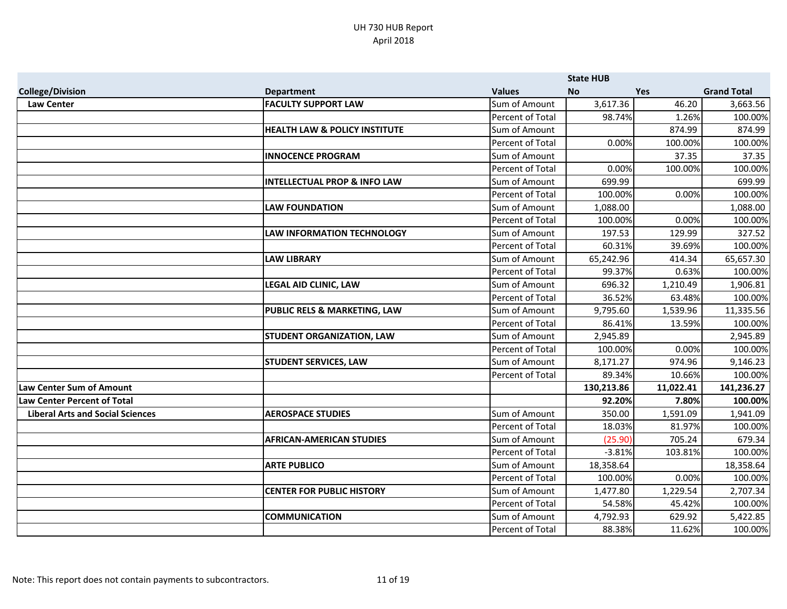|                                         |                                          |                         | <b>State HUB</b> |            |                    |
|-----------------------------------------|------------------------------------------|-------------------------|------------------|------------|--------------------|
| <b>College/Division</b>                 | <b>Department</b>                        | <b>Values</b>           | <b>No</b>        | <b>Yes</b> | <b>Grand Total</b> |
| <b>Law Center</b>                       | <b>FACULTY SUPPORT LAW</b>               | Sum of Amount           | 3,617.36         | 46.20      | 3,663.56           |
|                                         |                                          | Percent of Total        | 98.74%           | 1.26%      | 100.00%            |
|                                         | <b>HEALTH LAW &amp; POLICY INSTITUTE</b> | Sum of Amount           |                  | 874.99     | 874.99             |
|                                         |                                          | Percent of Total        | 0.00%            | 100.00%    | 100.00%            |
|                                         | <b>INNOCENCE PROGRAM</b>                 | Sum of Amount           |                  | 37.35      | 37.35              |
|                                         |                                          | Percent of Total        | 0.00%            | 100.00%    | 100.00%            |
|                                         | <b>INTELLECTUAL PROP &amp; INFO LAW</b>  | Sum of Amount           | 699.99           |            | 699.99             |
|                                         |                                          | <b>Percent of Total</b> | 100.00%          | 0.00%      | 100.00%            |
|                                         | <b>LAW FOUNDATION</b>                    | Sum of Amount           | 1,088.00         |            | 1,088.00           |
|                                         |                                          | Percent of Total        | 100.00%          | 0.00%      | 100.00%            |
|                                         | <b>LAW INFORMATION TECHNOLOGY</b>        | Sum of Amount           | 197.53           | 129.99     | 327.52             |
|                                         |                                          | Percent of Total        | 60.31%           | 39.69%     | 100.00%            |
|                                         | <b>LAW LIBRARY</b>                       | Sum of Amount           | 65,242.96        | 414.34     | 65,657.30          |
|                                         |                                          | Percent of Total        | 99.37%           | 0.63%      | 100.00%            |
|                                         | <b>LEGAL AID CLINIC, LAW</b>             | Sum of Amount           | 696.32           | 1,210.49   | 1,906.81           |
|                                         |                                          | Percent of Total        | 36.52%           | 63.48%     | 100.00%            |
|                                         | <b>PUBLIC RELS &amp; MARKETING, LAW</b>  | Sum of Amount           | 9,795.60         | 1,539.96   | 11,335.56          |
|                                         |                                          | Percent of Total        | 86.41%           | 13.59%     | 100.00%            |
|                                         | <b>STUDENT ORGANIZATION, LAW</b>         | Sum of Amount           | 2,945.89         |            | 2,945.89           |
|                                         |                                          | Percent of Total        | 100.00%          | 0.00%      | 100.00%            |
|                                         | <b>STUDENT SERVICES, LAW</b>             | Sum of Amount           | 8,171.27         | 974.96     | 9,146.23           |
|                                         |                                          | Percent of Total        | 89.34%           | 10.66%     | 100.00%            |
| <b>Law Center Sum of Amount</b>         |                                          |                         | 130,213.86       | 11,022.41  | 141,236.27         |
| <b>Law Center Percent of Total</b>      |                                          |                         | 92.20%           | 7.80%      | 100.00%            |
| <b>Liberal Arts and Social Sciences</b> | <b>AEROSPACE STUDIES</b>                 | Sum of Amount           | 350.00           | 1,591.09   | 1,941.09           |
|                                         |                                          | <b>Percent of Total</b> | 18.03%           | 81.97%     | 100.00%            |
|                                         | <b>AFRICAN-AMERICAN STUDIES</b>          | Sum of Amount           | (25.90)          | 705.24     | 679.34             |
|                                         |                                          | Percent of Total        | $-3.81%$         | 103.81%    | 100.00%            |
|                                         | <b>ARTE PUBLICO</b>                      | Sum of Amount           | 18,358.64        |            | 18,358.64          |
|                                         |                                          | <b>Percent of Total</b> | 100.00%          | 0.00%      | 100.00%            |
|                                         | <b>CENTER FOR PUBLIC HISTORY</b>         | Sum of Amount           | 1,477.80         | 1,229.54   | 2,707.34           |
|                                         |                                          | Percent of Total        | 54.58%           | 45.42%     | 100.00%            |
|                                         | <b>COMMUNICATION</b>                     | Sum of Amount           | 4,792.93         | 629.92     | 5,422.85           |
|                                         |                                          | Percent of Total        | 88.38%           | 11.62%     | 100.00%            |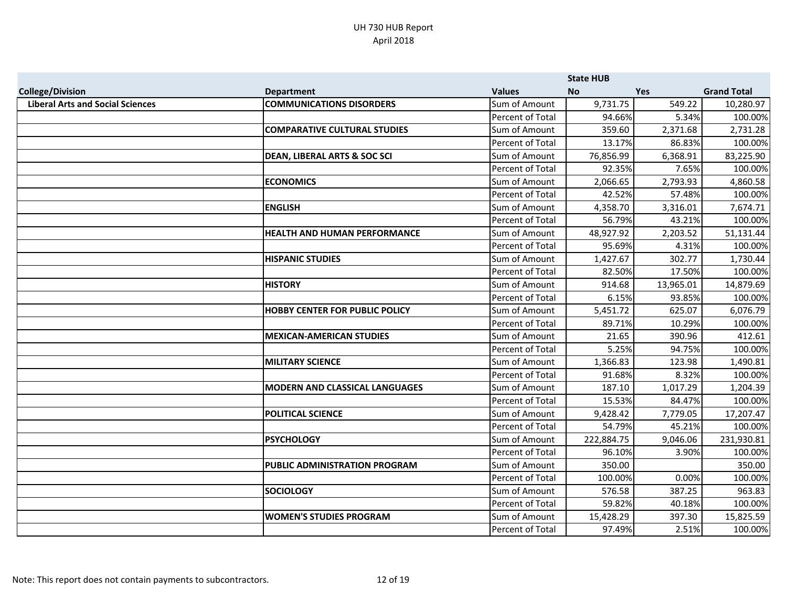|                                         |                                         |                  | <b>State HUB</b> |           |                    |
|-----------------------------------------|-----------------------------------------|------------------|------------------|-----------|--------------------|
| <b>College/Division</b>                 | <b>Department</b>                       | <b>Values</b>    | <b>No</b>        | Yes       | <b>Grand Total</b> |
| <b>Liberal Arts and Social Sciences</b> | <b>COMMUNICATIONS DISORDERS</b>         | Sum of Amount    | 9,731.75         | 549.22    | 10,280.97          |
|                                         |                                         | Percent of Total | 94.66%           | 5.34%     | 100.00%            |
|                                         | <b>COMPARATIVE CULTURAL STUDIES</b>     | Sum of Amount    | 359.60           | 2,371.68  | 2,731.28           |
|                                         |                                         | Percent of Total | 13.17%           | 86.83%    | 100.00%            |
|                                         | <b>DEAN, LIBERAL ARTS &amp; SOC SCI</b> | Sum of Amount    | 76,856.99        | 6,368.91  | 83,225.90          |
|                                         |                                         | Percent of Total | 92.35%           | 7.65%     | 100.00%            |
|                                         | <b>ECONOMICS</b>                        | Sum of Amount    | 2,066.65         | 2,793.93  | 4,860.58           |
|                                         |                                         | Percent of Total | 42.52%           | 57.48%    | 100.00%            |
|                                         | <b>ENGLISH</b>                          | Sum of Amount    | 4,358.70         | 3,316.01  | 7,674.71           |
|                                         |                                         | Percent of Total | 56.79%           | 43.21%    | 100.00%            |
|                                         | <b>HEALTH AND HUMAN PERFORMANCE</b>     | Sum of Amount    | 48,927.92        | 2,203.52  | 51,131.44          |
|                                         |                                         | Percent of Total | 95.69%           | 4.31%     | 100.00%            |
|                                         | <b>HISPANIC STUDIES</b>                 | Sum of Amount    | 1,427.67         | 302.77    | 1,730.44           |
|                                         |                                         | Percent of Total | 82.50%           | 17.50%    | 100.00%            |
|                                         | <b>HISTORY</b>                          | Sum of Amount    | 914.68           | 13,965.01 | 14,879.69          |
|                                         |                                         | Percent of Total | 6.15%            | 93.85%    | 100.00%            |
|                                         | <b>HOBBY CENTER FOR PUBLIC POLICY</b>   | Sum of Amount    | 5,451.72         | 625.07    | 6,076.79           |
|                                         |                                         | Percent of Total | 89.71%           | 10.29%    | 100.00%            |
|                                         | <b>MEXICAN-AMERICAN STUDIES</b>         | Sum of Amount    | 21.65            | 390.96    | 412.61             |
|                                         |                                         | Percent of Total | 5.25%            | 94.75%    | 100.00%            |
|                                         | <b>MILITARY SCIENCE</b>                 | Sum of Amount    | 1,366.83         | 123.98    | 1,490.81           |
|                                         |                                         | Percent of Total | 91.68%           | 8.32%     | 100.00%            |
|                                         | <b>MODERN AND CLASSICAL LANGUAGES</b>   | Sum of Amount    | 187.10           | 1,017.29  | 1,204.39           |
|                                         |                                         | Percent of Total | 15.53%           | 84.47%    | 100.00%            |
|                                         | <b>POLITICAL SCIENCE</b>                | Sum of Amount    | 9,428.42         | 7,779.05  | 17,207.47          |
|                                         |                                         | Percent of Total | 54.79%           | 45.21%    | 100.00%            |
|                                         | <b>PSYCHOLOGY</b>                       | Sum of Amount    | 222,884.75       | 9,046.06  | 231,930.81         |
|                                         |                                         | Percent of Total | 96.10%           | 3.90%     | 100.00%            |
|                                         | PUBLIC ADMINISTRATION PROGRAM           | Sum of Amount    | 350.00           |           | 350.00             |
|                                         |                                         | Percent of Total | 100.00%          | 0.00%     | 100.00%            |
|                                         | <b>SOCIOLOGY</b>                        | Sum of Amount    | 576.58           | 387.25    | 963.83             |
|                                         |                                         | Percent of Total | 59.82%           | 40.18%    | 100.00%            |
|                                         | <b>WOMEN'S STUDIES PROGRAM</b>          | Sum of Amount    | 15,428.29        | 397.30    | 15,825.59          |
|                                         |                                         | Percent of Total | 97.49%           | 2.51%     | 100.00%            |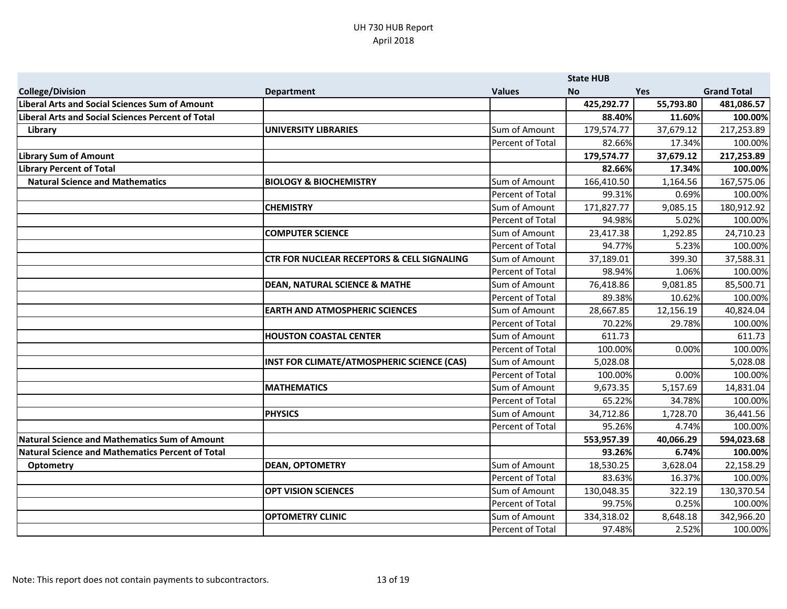|                                                  |                                                       |                  | <b>State HUB</b> |            |                    |
|--------------------------------------------------|-------------------------------------------------------|------------------|------------------|------------|--------------------|
| <b>College/Division</b>                          | <b>Department</b>                                     | <b>Values</b>    | <b>No</b>        | <b>Yes</b> | <b>Grand Total</b> |
| Liberal Arts and Social Sciences Sum of Amount   |                                                       |                  | 425,292.77       | 55,793.80  | 481,086.57         |
| iberal Arts and Social Sciences Percent of Total |                                                       |                  | 88.40%           | 11.60%     | 100.00%            |
| Library                                          | <b>UNIVERSITY LIBRARIES</b>                           | Sum of Amount    | 179,574.77       | 37,679.12  | 217,253.89         |
|                                                  |                                                       | Percent of Total | 82.66%           | 17.34%     | 100.00%            |
| <b>Library Sum of Amount</b>                     |                                                       |                  | 179,574.77       | 37,679.12  | 217,253.89         |
| <b>Library Percent of Total</b>                  |                                                       |                  | 82.66%           | 17.34%     | 100.00%            |
| <b>Natural Science and Mathematics</b>           | <b>BIOLOGY &amp; BIOCHEMISTRY</b>                     | Sum of Amount    | 166,410.50       | 1,164.56   | 167,575.06         |
|                                                  |                                                       | Percent of Total | 99.31%           | 0.69%      | 100.00%            |
|                                                  | <b>CHEMISTRY</b>                                      | Sum of Amount    | 171,827.77       | 9,085.15   | 180,912.92         |
|                                                  |                                                       | Percent of Total | 94.98%           | 5.02%      | 100.00%            |
|                                                  | <b>COMPUTER SCIENCE</b>                               | Sum of Amount    | 23,417.38        | 1,292.85   | 24,710.23          |
|                                                  |                                                       | Percent of Total | 94.77%           | 5.23%      | 100.00%            |
|                                                  | <b>CTR FOR NUCLEAR RECEPTORS &amp; CELL SIGNALING</b> | Sum of Amount    | 37,189.01        | 399.30     | 37,588.31          |
|                                                  |                                                       | Percent of Total | 98.94%           | 1.06%      | 100.00%            |
|                                                  | <b>DEAN, NATURAL SCIENCE &amp; MATHE</b>              | Sum of Amount    | 76,418.86        | 9,081.85   | 85,500.71          |
|                                                  |                                                       | Percent of Total | 89.38%           | 10.62%     | 100.00%            |
|                                                  | <b>EARTH AND ATMOSPHERIC SCIENCES</b>                 | Sum of Amount    | 28,667.85        | 12,156.19  | 40,824.04          |
|                                                  |                                                       | Percent of Total | 70.22%           | 29.78%     | 100.00%            |
|                                                  | <b>HOUSTON COASTAL CENTER</b>                         | Sum of Amount    | 611.73           |            | 611.73             |
|                                                  |                                                       | Percent of Total | 100.00%          | 0.00%      | 100.00%            |
|                                                  | INST FOR CLIMATE/ATMOSPHERIC SCIENCE (CAS)            | Sum of Amount    | 5,028.08         |            | 5,028.08           |
|                                                  |                                                       | Percent of Total | 100.00%          | 0.00%      | 100.00%            |
|                                                  | <b>MATHEMATICS</b>                                    | Sum of Amount    | 9,673.35         | 5,157.69   | 14,831.04          |
|                                                  |                                                       | Percent of Total | 65.22%           | 34.78%     | 100.00%            |
|                                                  | <b>PHYSICS</b>                                        | Sum of Amount    | 34,712.86        | 1,728.70   | 36,441.56          |
|                                                  |                                                       | Percent of Total | 95.26%           | 4.74%      | 100.00%            |
| Natural Science and Mathematics Sum of Amount    |                                                       |                  | 553,957.39       | 40,066.29  | 594,023.68         |
| Natural Science and Mathematics Percent of Total |                                                       |                  | 93.26%           | 6.74%      | 100.00%            |
| <b>Optometry</b>                                 | <b>DEAN, OPTOMETRY</b>                                | Sum of Amount    | 18,530.25        | 3,628.04   | 22,158.29          |
|                                                  |                                                       | Percent of Total | 83.63%           | 16.37%     | 100.00%            |
|                                                  | <b>OPT VISION SCIENCES</b>                            | Sum of Amount    | 130,048.35       | 322.19     | 130,370.54         |
|                                                  |                                                       | Percent of Total | 99.75%           | 0.25%      | 100.00%            |
|                                                  | <b>OPTOMETRY CLINIC</b>                               | Sum of Amount    | 334,318.02       | 8,648.18   | 342,966.20         |
|                                                  |                                                       | Percent of Total | 97.48%           | 2.52%      | 100.00%            |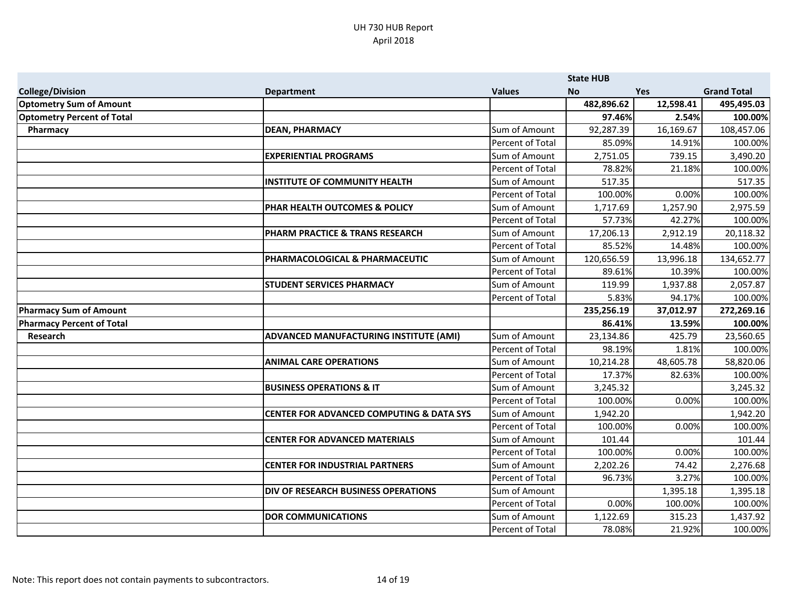|                                   |                                                     |                  | <b>State HUB</b> |            |                    |
|-----------------------------------|-----------------------------------------------------|------------------|------------------|------------|--------------------|
| <b>College/Division</b>           | <b>Department</b>                                   | <b>Values</b>    | <b>No</b>        | <b>Yes</b> | <b>Grand Total</b> |
| <b>Optometry Sum of Amount</b>    |                                                     |                  | 482,896.62       | 12,598.41  | 495,495.03         |
| <b>Optometry Percent of Total</b> |                                                     |                  | 97.46%           | 2.54%      | 100.00%            |
| Pharmacy                          | <b>DEAN, PHARMACY</b>                               | Sum of Amount    | 92,287.39        | 16,169.67  | 108,457.06         |
|                                   |                                                     | Percent of Total | 85.09%           | 14.91%     | 100.00%            |
|                                   | <b>EXPERIENTIAL PROGRAMS</b>                        | Sum of Amount    | 2,751.05         | 739.15     | 3,490.20           |
|                                   |                                                     | Percent of Total | 78.82%           | 21.18%     | 100.00%            |
|                                   | <b>INSTITUTE OF COMMUNITY HEALTH</b>                | Sum of Amount    | 517.35           |            | 517.35             |
|                                   |                                                     | Percent of Total | 100.00%          | 0.00%      | 100.00%            |
|                                   | PHAR HEALTH OUTCOMES & POLICY                       | Sum of Amount    | 1,717.69         | 1,257.90   | 2,975.59           |
|                                   |                                                     | Percent of Total | 57.73%           | 42.27%     | 100.00%            |
|                                   | <b>PHARM PRACTICE &amp; TRANS RESEARCH</b>          | Sum of Amount    | 17,206.13        | 2,912.19   | 20,118.32          |
|                                   |                                                     | Percent of Total | 85.52%           | 14.48%     | 100.00%            |
|                                   | PHARMACOLOGICAL & PHARMACEUTIC                      | Sum of Amount    | 120,656.59       | 13,996.18  | 134,652.77         |
|                                   |                                                     | Percent of Total | 89.61%           | 10.39%     | 100.00%            |
|                                   | <b>STUDENT SERVICES PHARMACY</b>                    | Sum of Amount    | 119.99           | 1,937.88   | 2,057.87           |
|                                   |                                                     | Percent of Total | 5.83%            | 94.17%     | 100.00%            |
| <b>Pharmacy Sum of Amount</b>     |                                                     |                  | 235,256.19       | 37,012.97  | 272,269.16         |
| <b>Pharmacy Percent of Total</b>  |                                                     |                  | 86.41%           | 13.59%     | 100.00%            |
| <b>Research</b>                   | ADVANCED MANUFACTURING INSTITUTE (AMI)              | Sum of Amount    | 23,134.86        | 425.79     | 23,560.65          |
|                                   |                                                     | Percent of Total | 98.19%           | 1.81%      | 100.00%            |
|                                   | <b>ANIMAL CARE OPERATIONS</b>                       | Sum of Amount    | 10,214.28        | 48,605.78  | 58,820.06          |
|                                   |                                                     | Percent of Total | 17.37%           | 82.63%     | 100.00%            |
|                                   | <b>BUSINESS OPERATIONS &amp; IT</b>                 | Sum of Amount    | 3,245.32         |            | 3,245.32           |
|                                   |                                                     | Percent of Total | 100.00%          | 0.00%      | 100.00%            |
|                                   | <b>CENTER FOR ADVANCED COMPUTING &amp; DATA SYS</b> | Sum of Amount    | 1,942.20         |            | 1,942.20           |
|                                   |                                                     | Percent of Total | 100.00%          | 0.00%      | 100.00%            |
|                                   | <b>CENTER FOR ADVANCED MATERIALS</b>                | Sum of Amount    | 101.44           |            | 101.44             |
|                                   |                                                     | Percent of Total | 100.00%          | 0.00%      | 100.00%            |
|                                   | <b>CENTER FOR INDUSTRIAL PARTNERS</b>               | Sum of Amount    | 2,202.26         | 74.42      | 2,276.68           |
|                                   |                                                     | Percent of Total | 96.73%           | 3.27%      | 100.00%            |
|                                   | DIV OF RESEARCH BUSINESS OPERATIONS                 | Sum of Amount    |                  | 1,395.18   | 1,395.18           |
|                                   |                                                     | Percent of Total | 0.00%            | 100.00%    | 100.00%            |
|                                   | <b>DOR COMMUNICATIONS</b>                           | Sum of Amount    | 1,122.69         | 315.23     | 1,437.92           |
|                                   |                                                     | Percent of Total | 78.08%           | 21.92%     | 100.00%            |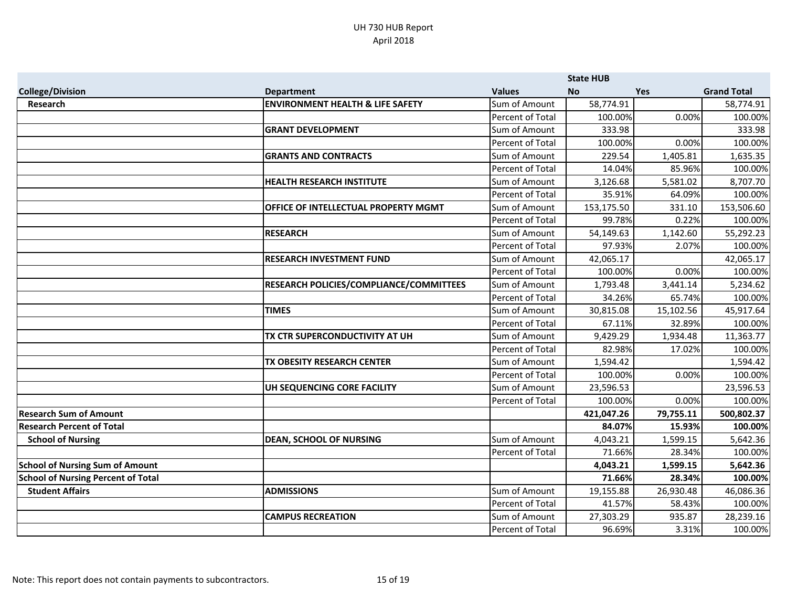|                                           |                                             |                  | <b>State HUB</b> |            |                    |
|-------------------------------------------|---------------------------------------------|------------------|------------------|------------|--------------------|
| <b>College/Division</b>                   | <b>Department</b>                           | <b>Values</b>    | <b>No</b>        | <b>Yes</b> | <b>Grand Total</b> |
| <b>Research</b>                           | <b>ENVIRONMENT HEALTH &amp; LIFE SAFETY</b> | Sum of Amount    | 58,774.91        |            | 58,774.91          |
|                                           |                                             | Percent of Total | 100.00%          | 0.00%      | 100.00%            |
|                                           | <b>GRANT DEVELOPMENT</b>                    | Sum of Amount    | 333.98           |            | 333.98             |
|                                           |                                             | Percent of Total | 100.00%          | 0.00%      | 100.00%            |
|                                           | <b>GRANTS AND CONTRACTS</b>                 | Sum of Amount    | 229.54           | 1,405.81   | 1,635.35           |
|                                           |                                             | Percent of Total | 14.04%           | 85.96%     | 100.00%            |
|                                           | <b>HEALTH RESEARCH INSTITUTE</b>            | Sum of Amount    | 3,126.68         | 5,581.02   | 8,707.70           |
|                                           |                                             | Percent of Total | 35.91%           | 64.09%     | 100.00%            |
|                                           | OFFICE OF INTELLECTUAL PROPERTY MGMT        | Sum of Amount    | 153,175.50       | 331.10     | 153,506.60         |
|                                           |                                             | Percent of Total | 99.78%           | 0.22%      | 100.00%            |
|                                           | <b>RESEARCH</b>                             | Sum of Amount    | 54,149.63        | 1,142.60   | 55,292.23          |
|                                           |                                             | Percent of Total | 97.93%           | 2.07%      | 100.00%            |
|                                           | <b>RESEARCH INVESTMENT FUND</b>             | Sum of Amount    | 42,065.17        |            | 42,065.17          |
|                                           |                                             | Percent of Total | 100.00%          | 0.00%      | 100.00%            |
|                                           | RESEARCH POLICIES/COMPLIANCE/COMMITTEES     | Sum of Amount    | 1,793.48         | 3,441.14   | 5,234.62           |
|                                           |                                             | Percent of Total | 34.26%           | 65.74%     | 100.00%            |
|                                           | <b>TIMES</b>                                | Sum of Amount    | 30,815.08        | 15,102.56  | 45,917.64          |
|                                           |                                             | Percent of Total | 67.11%           | 32.89%     | 100.00%            |
|                                           | TX CTR SUPERCONDUCTIVITY AT UH              | Sum of Amount    | 9,429.29         | 1,934.48   | 11,363.77          |
|                                           |                                             | Percent of Total | 82.98%           | 17.02%     | 100.00%            |
|                                           | TX OBESITY RESEARCH CENTER                  | Sum of Amount    | 1,594.42         |            | 1,594.42           |
|                                           |                                             | Percent of Total | 100.00%          | 0.00%      | 100.00%            |
|                                           | UH SEQUENCING CORE FACILITY                 | Sum of Amount    | 23,596.53        |            | 23,596.53          |
|                                           |                                             | Percent of Total | 100.00%          | 0.00%      | 100.00%            |
| <b>Research Sum of Amount</b>             |                                             |                  | 421,047.26       | 79,755.11  | 500,802.37         |
| <b>Research Percent of Total</b>          |                                             |                  | 84.07%           | 15.93%     | 100.00%            |
| <b>School of Nursing</b>                  | <b>DEAN, SCHOOL OF NURSING</b>              | Sum of Amount    | 4,043.21         | 1,599.15   | 5,642.36           |
|                                           |                                             | Percent of Total | 71.66%           | 28.34%     | 100.00%            |
| <b>School of Nursing Sum of Amount</b>    |                                             |                  | 4,043.21         | 1,599.15   | 5,642.36           |
| <b>School of Nursing Percent of Total</b> |                                             |                  | 71.66%           | 28.34%     | 100.00%            |
| <b>Student Affairs</b>                    | <b>ADMISSIONS</b>                           | Sum of Amount    | 19,155.88        | 26,930.48  | 46,086.36          |
|                                           |                                             | Percent of Total | 41.57%           | 58.43%     | 100.00%            |
|                                           | <b>CAMPUS RECREATION</b>                    | Sum of Amount    | 27,303.29        | 935.87     | 28,239.16          |
|                                           |                                             | Percent of Total | 96.69%           | 3.31%      | 100.00%            |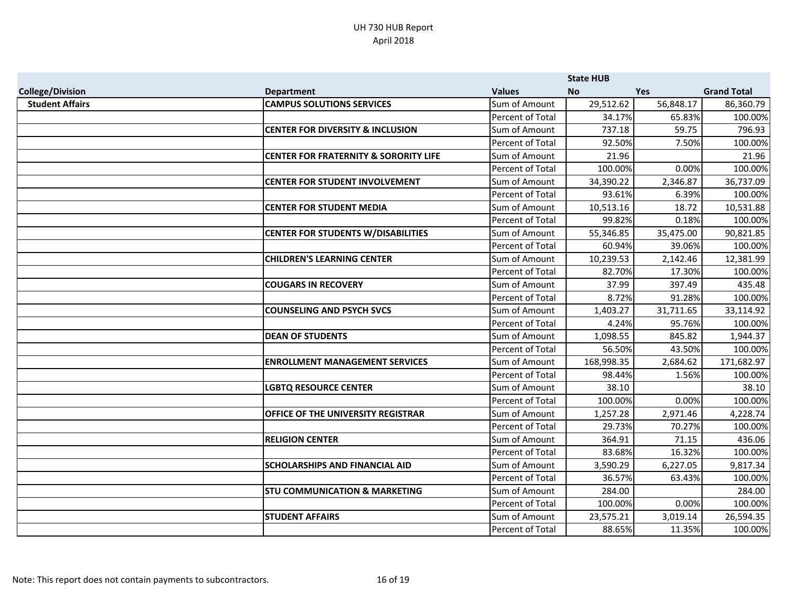|                         |                                                  |                  | <b>State HUB</b> |            |                    |
|-------------------------|--------------------------------------------------|------------------|------------------|------------|--------------------|
| <b>College/Division</b> | <b>Department</b>                                | <b>Values</b>    | <b>No</b>        | <b>Yes</b> | <b>Grand Total</b> |
| <b>Student Affairs</b>  | <b>CAMPUS SOLUTIONS SERVICES</b>                 | Sum of Amount    | 29,512.62        | 56,848.17  | 86,360.79          |
|                         |                                                  | Percent of Total | 34.17%           | 65.83%     | 100.00%            |
|                         | <b>CENTER FOR DIVERSITY &amp; INCLUSION</b>      | Sum of Amount    | 737.18           | 59.75      | 796.93             |
|                         |                                                  | Percent of Total | 92.50%           | 7.50%      | 100.00%            |
|                         | <b>CENTER FOR FRATERNITY &amp; SORORITY LIFE</b> | Sum of Amount    | 21.96            |            | 21.96              |
|                         |                                                  | Percent of Total | 100.00%          | 0.00%      | 100.00%            |
|                         | <b>CENTER FOR STUDENT INVOLVEMENT</b>            | Sum of Amount    | 34,390.22        | 2,346.87   | 36,737.09          |
|                         |                                                  | Percent of Total | 93.61%           | 6.39%      | 100.00%            |
|                         | <b>CENTER FOR STUDENT MEDIA</b>                  | Sum of Amount    | 10,513.16        | 18.72      | 10,531.88          |
|                         |                                                  | Percent of Total | 99.82%           | 0.18%      | 100.00%            |
|                         | <b>CENTER FOR STUDENTS W/DISABILITIES</b>        | Sum of Amount    | 55,346.85        | 35,475.00  | 90,821.85          |
|                         |                                                  | Percent of Total | 60.94%           | 39.06%     | 100.00%            |
|                         | <b>CHILDREN'S LEARNING CENTER</b>                | Sum of Amount    | 10,239.53        | 2,142.46   | 12,381.99          |
|                         |                                                  | Percent of Total | 82.70%           | 17.30%     | 100.00%            |
|                         | <b>COUGARS IN RECOVERY</b>                       | Sum of Amount    | 37.99            | 397.49     | 435.48             |
|                         |                                                  | Percent of Total | 8.72%            | 91.28%     | 100.00%            |
|                         | <b>COUNSELING AND PSYCH SVCS</b>                 | Sum of Amount    | 1,403.27         | 31,711.65  | 33,114.92          |
|                         |                                                  | Percent of Total | 4.24%            | 95.76%     | 100.00%            |
|                         | <b>DEAN OF STUDENTS</b>                          | Sum of Amount    | 1,098.55         | 845.82     | 1,944.37           |
|                         |                                                  | Percent of Total | 56.50%           | 43.50%     | 100.00%            |
|                         | <b>ENROLLMENT MANAGEMENT SERVICES</b>            | Sum of Amount    | 168,998.35       | 2,684.62   | 171,682.97         |
|                         |                                                  | Percent of Total | 98.44%           | 1.56%      | 100.00%            |
|                         | <b>LGBTQ RESOURCE CENTER</b>                     | Sum of Amount    | 38.10            |            | 38.10              |
|                         |                                                  | Percent of Total | 100.00%          | 0.00%      | 100.00%            |
|                         | OFFICE OF THE UNIVERSITY REGISTRAR               | Sum of Amount    | 1,257.28         | 2,971.46   | 4,228.74           |
|                         |                                                  | Percent of Total | 29.73%           | 70.27%     | 100.00%            |
|                         | <b>RELIGION CENTER</b>                           | Sum of Amount    | 364.91           | 71.15      | 436.06             |
|                         |                                                  | Percent of Total | 83.68%           | 16.32%     | 100.00%            |
|                         | <b>SCHOLARSHIPS AND FINANCIAL AID</b>            | Sum of Amount    | 3,590.29         | 6,227.05   | 9,817.34           |
|                         |                                                  | Percent of Total | 36.57%           | 63.43%     | 100.00%            |
|                         | <b>STU COMMUNICATION &amp; MARKETING</b>         | Sum of Amount    | 284.00           |            | 284.00             |
|                         |                                                  | Percent of Total | 100.00%          | 0.00%      | 100.00%            |
|                         | <b>STUDENT AFFAIRS</b>                           | Sum of Amount    | 23,575.21        | 3,019.14   | 26,594.35          |
|                         |                                                  | Percent of Total | 88.65%           | 11.35%     | 100.00%            |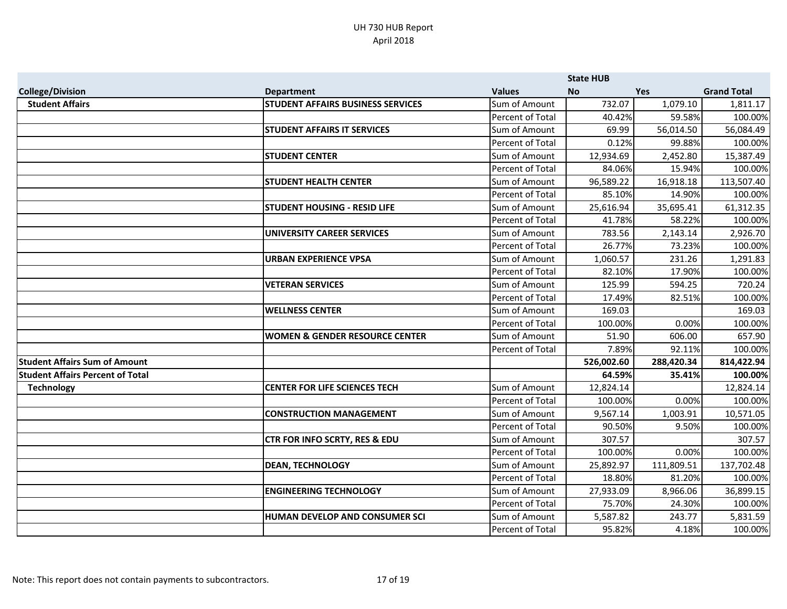|                                         |                                           |                         | <b>State HUB</b> |            |                    |
|-----------------------------------------|-------------------------------------------|-------------------------|------------------|------------|--------------------|
| <b>College/Division</b>                 | <b>Department</b>                         | <b>Values</b>           | <b>No</b>        | <b>Yes</b> | <b>Grand Total</b> |
| <b>Student Affairs</b>                  | STUDENT AFFAIRS BUSINESS SERVICES         | Sum of Amount           | 732.07           | 1,079.10   | 1,811.17           |
|                                         |                                           | Percent of Total        | 40.42%           | 59.58%     | 100.00%            |
|                                         | <b>STUDENT AFFAIRS IT SERVICES</b>        | Sum of Amount           | 69.99            | 56,014.50  | 56,084.49          |
|                                         |                                           | Percent of Total        | 0.12%            | 99.88%     | 100.00%            |
|                                         | <b>STUDENT CENTER</b>                     | Sum of Amount           | 12,934.69        | 2,452.80   | 15,387.49          |
|                                         |                                           | Percent of Total        | 84.06%           | 15.94%     | 100.00%            |
|                                         | <b>STUDENT HEALTH CENTER</b>              | Sum of Amount           | 96,589.22        | 16,918.18  | 113,507.40         |
|                                         |                                           | Percent of Total        | 85.10%           | 14.90%     | 100.00%            |
|                                         | <b>STUDENT HOUSING - RESID LIFE</b>       | Sum of Amount           | 25,616.94        | 35,695.41  | 61,312.35          |
|                                         |                                           | Percent of Total        | 41.78%           | 58.22%     | 100.00%            |
|                                         | <b>UNIVERSITY CAREER SERVICES</b>         | Sum of Amount           | 783.56           | 2,143.14   | 2,926.70           |
|                                         |                                           | Percent of Total        | 26.77%           | 73.23%     | 100.00%            |
|                                         | <b>URBAN EXPERIENCE VPSA</b>              | Sum of Amount           | 1,060.57         | 231.26     | 1,291.83           |
|                                         |                                           | Percent of Total        | 82.10%           | 17.90%     | 100.00%            |
|                                         | <b>VETERAN SERVICES</b>                   | Sum of Amount           | 125.99           | 594.25     | 720.24             |
|                                         |                                           | Percent of Total        | 17.49%           | 82.51%     | 100.00%            |
|                                         | <b>WELLNESS CENTER</b>                    | Sum of Amount           | 169.03           |            | 169.03             |
|                                         |                                           | Percent of Total        | 100.00%          | 0.00%      | 100.00%            |
|                                         | <b>WOMEN &amp; GENDER RESOURCE CENTER</b> | Sum of Amount           | 51.90            | 606.00     | 657.90             |
|                                         |                                           | Percent of Total        | 7.89%            | 92.11%     | 100.00%            |
| <b>Student Affairs Sum of Amount</b>    |                                           |                         | 526,002.60       | 288,420.34 | 814,422.94         |
| <b>Student Affairs Percent of Total</b> |                                           |                         | 64.59%           | 35.41%     | 100.00%            |
| <b>Technology</b>                       | <b>CENTER FOR LIFE SCIENCES TECH</b>      | Sum of Amount           | 12,824.14        |            | 12,824.14          |
|                                         |                                           | Percent of Total        | 100.00%          | 0.00%      | 100.00%            |
|                                         | <b>CONSTRUCTION MANAGEMENT</b>            | Sum of Amount           | 9,567.14         | 1,003.91   | 10,571.05          |
|                                         |                                           | Percent of Total        | 90.50%           | 9.50%      | 100.00%            |
|                                         | CTR FOR INFO SCRTY, RES & EDU             | Sum of Amount           | 307.57           |            | 307.57             |
|                                         |                                           | <b>Percent of Total</b> | 100.00%          | 0.00%      | 100.00%            |
|                                         | <b>DEAN, TECHNOLOGY</b>                   | Sum of Amount           | 25,892.97        | 111,809.51 | 137,702.48         |
|                                         |                                           | Percent of Total        | 18.80%           | 81.20%     | 100.00%            |
|                                         | <b>ENGINEERING TECHNOLOGY</b>             | Sum of Amount           | 27,933.09        | 8,966.06   | 36,899.15          |
|                                         |                                           | Percent of Total        | 75.70%           | 24.30%     | 100.00%            |
|                                         | HUMAN DEVELOP AND CONSUMER SCI            | Sum of Amount           | 5,587.82         | 243.77     | 5,831.59           |
|                                         |                                           | Percent of Total        | 95.82%           | 4.18%      | 100.00%            |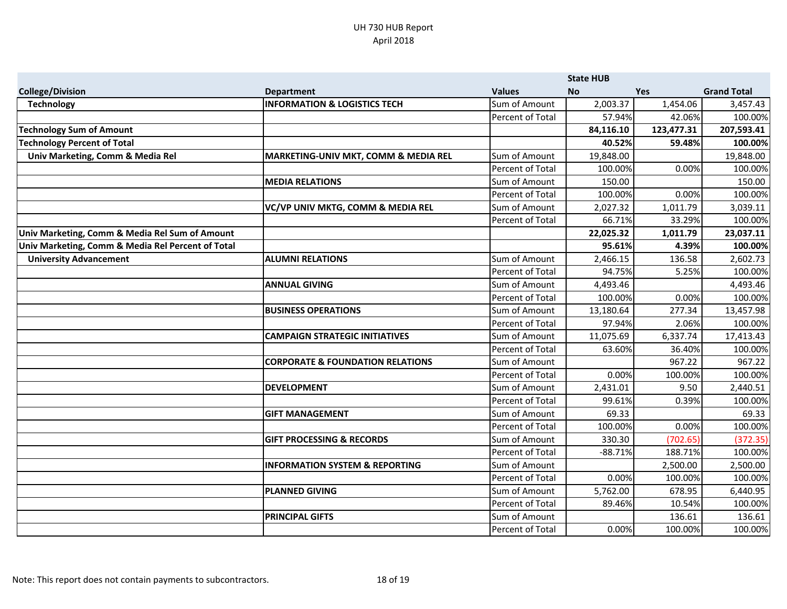|                                                   |                                                 |                  | <b>State HUB</b> |            |                    |
|---------------------------------------------------|-------------------------------------------------|------------------|------------------|------------|--------------------|
| <b>College/Division</b>                           | <b>Department</b>                               | <b>Values</b>    | <b>No</b>        | Yes        | <b>Grand Total</b> |
| <b>Technology</b>                                 | <b>INFORMATION &amp; LOGISTICS TECH</b>         | Sum of Amount    | 2,003.37         | 1,454.06   | 3,457.43           |
|                                                   |                                                 | Percent of Total | 57.94%           | 42.06%     | 100.00%            |
| <b>Technology Sum of Amount</b>                   |                                                 |                  | 84,116.10        | 123,477.31 | 207,593.41         |
| <b>Fechnology Percent of Total</b>                |                                                 |                  | 40.52%           | 59.48%     | 100.00%            |
| Univ Marketing, Comm & Media Rel                  | <b>MARKETING-UNIV MKT, COMM &amp; MEDIA REL</b> | Sum of Amount    | 19,848.00        |            | 19,848.00          |
|                                                   |                                                 | Percent of Total | 100.00%          | 0.00%      | 100.00%            |
|                                                   | <b>MEDIA RELATIONS</b>                          | Sum of Amount    | 150.00           |            | 150.00             |
|                                                   |                                                 | Percent of Total | 100.00%          | 0.00%      | 100.00%            |
|                                                   | VC/VP UNIV MKTG, COMM & MEDIA REL               | Sum of Amount    | 2,027.32         | 1,011.79   | 3,039.11           |
|                                                   |                                                 | Percent of Total | 66.71%           | 33.29%     | 100.00%            |
| Univ Marketing, Comm & Media Rel Sum of Amount    |                                                 |                  | 22,025.32        | 1,011.79   | 23,037.11          |
| Univ Marketing, Comm & Media Rel Percent of Total |                                                 |                  | 95.61%           | 4.39%      | 100.00%            |
| <b>University Advancement</b>                     | <b>ALUMNI RELATIONS</b>                         | Sum of Amount    | 2,466.15         | 136.58     | 2,602.73           |
|                                                   |                                                 | Percent of Total | 94.75%           | 5.25%      | 100.00%            |
|                                                   | <b>ANNUAL GIVING</b>                            | Sum of Amount    | 4,493.46         |            | 4,493.46           |
|                                                   |                                                 | Percent of Total | 100.00%          | 0.00%      | 100.00%            |
|                                                   | <b>BUSINESS OPERATIONS</b>                      | Sum of Amount    | 13,180.64        | 277.34     | 13,457.98          |
|                                                   |                                                 | Percent of Total | 97.94%           | 2.06%      | 100.00%            |
|                                                   | <b>CAMPAIGN STRATEGIC INITIATIVES</b>           | Sum of Amount    | 11,075.69        | 6,337.74   | 17,413.43          |
|                                                   |                                                 | Percent of Total | 63.60%           | 36.40%     | 100.00%            |
|                                                   | <b>CORPORATE &amp; FOUNDATION RELATIONS</b>     | Sum of Amount    |                  | 967.22     | 967.22             |
|                                                   |                                                 | Percent of Total | 0.00%            | 100.00%    | 100.00%            |
|                                                   | <b>DEVELOPMENT</b>                              | Sum of Amount    | 2,431.01         | 9.50       | 2,440.51           |
|                                                   |                                                 | Percent of Total | 99.61%           | 0.39%      | 100.00%            |
|                                                   | <b>GIFT MANAGEMENT</b>                          | Sum of Amount    | 69.33            |            | 69.33              |
|                                                   |                                                 | Percent of Total | 100.00%          | 0.00%      | 100.00%            |
|                                                   | <b>GIFT PROCESSING &amp; RECORDS</b>            | Sum of Amount    | 330.30           | (702.65)   | (372.35)           |
|                                                   |                                                 | Percent of Total | $-88.71%$        | 188.71%    | 100.00%            |
|                                                   | <b>INFORMATION SYSTEM &amp; REPORTING</b>       | Sum of Amount    |                  | 2,500.00   | 2,500.00           |
|                                                   |                                                 | Percent of Total | 0.00%            | 100.00%    | 100.00%            |
|                                                   | <b>PLANNED GIVING</b>                           | Sum of Amount    | 5,762.00         | 678.95     | 6,440.95           |
|                                                   |                                                 | Percent of Total | 89.46%           | 10.54%     | 100.00%            |
|                                                   | <b>PRINCIPAL GIFTS</b>                          | Sum of Amount    |                  | 136.61     | 136.61             |
|                                                   |                                                 | Percent of Total | 0.00%            | 100.00%    | 100.00%            |